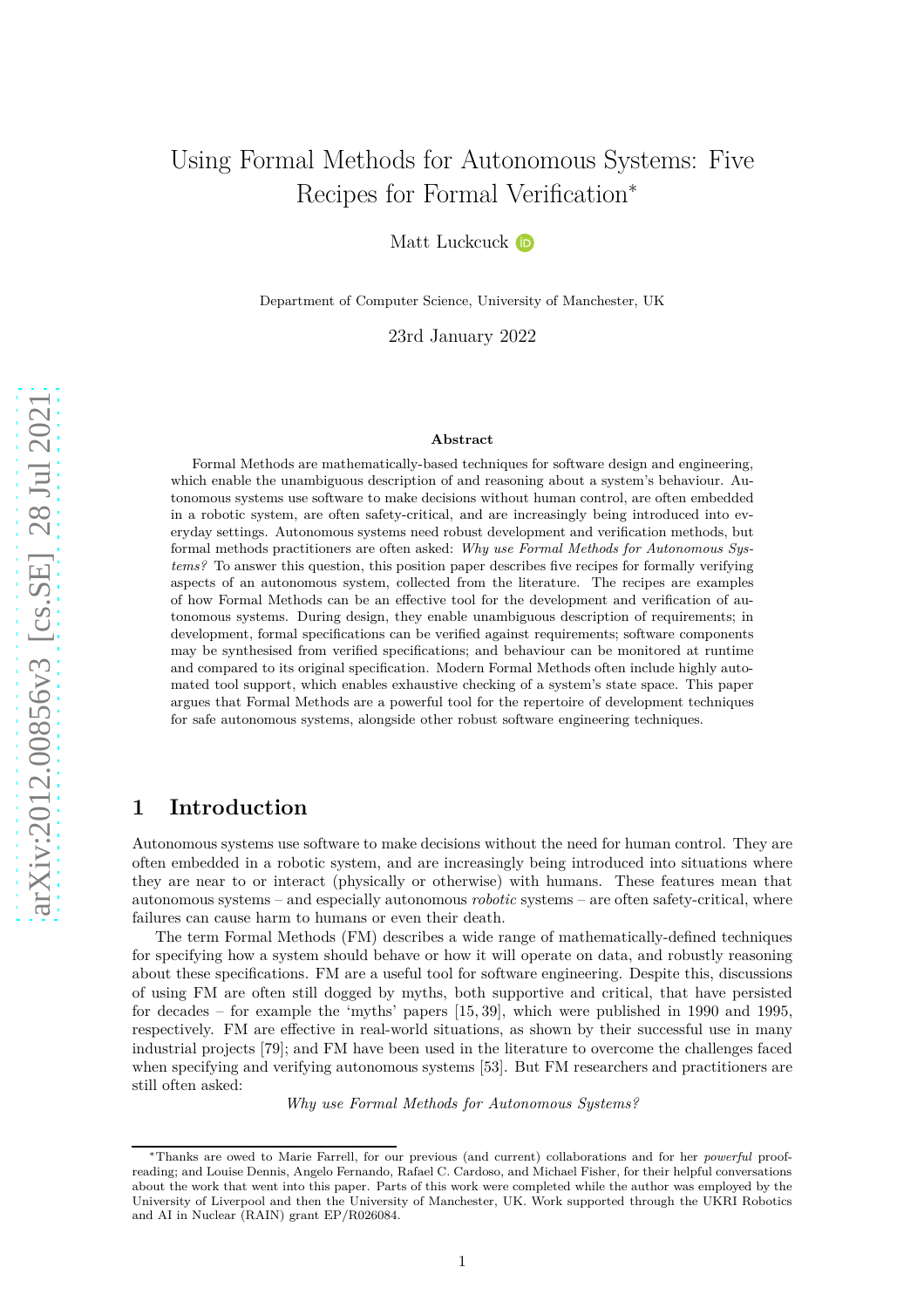# Using Formal Methods for Autonomous Systems: Five Recipes for Formal Verification<sup>\*</sup>

Matt Luckcuck iD

Department of Computer Science, University of Manchester, UK

23rd January 2022

#### **Abstract**

Formal Methods are mathematically-based techniques for software design and engineering, which enable the unambiguous description of and reasoning about a system's behaviour. Autonomous systems use software to make decisions without human control, are often embedded in a robotic system, are often safety-critical, and are increasingly being introduced into everyday settings. Autonomous systems need robust development and verification methods, but formal methods practitioners are often asked: *Why use Formal Methods for Autonomous Systems?* To answer this question, this position paper describes five recipes for formally verifying aspects of an autonomous system, collected from the literature. The recipes are examples of how Formal Methods can be an effective tool for the development and verification of autonomous systems. During design, they enable unambiguous description of requirements; in development, formal specifications can be verified against requirements; software components may be synthesised from verified specifications; and behaviour can be monitored at runtime and compared to its original specification. Modern Formal Methods often include highly automated tool support, which enables exhaustive checking of a system's state space. This paper argues that Formal Methods are a powerful tool for the repertoire of development techniques for safe autonomous systems, alongside other robust software engineering techniques.

## **1 Introduction**

Autonomous systems use software to make decisions without the need for human control. They are often embedded in a robotic system, and are increasingly being introduced into situations where they are near to or interact (physically or otherwise) with humans. These features mean that autonomous systems – and especially autonomous *robotic* systems – are often safety-critical, where failures can cause harm to humans or even their death.

The term Formal Methods (FM) describes a wide range of mathematically-defined techniques for specifying how a system should behave or how it will operate on data, and robustly reasoning about these specifications. FM are a useful tool for software engineering. Despite this, discussions of using FM are often still dogged by myths, both supportive and critical, that have persisted for decades – for example the 'myths' papers [\[15,](#page-14-0) [39\]](#page-15-0), which were published in 1990 and 1995, respectively. FM are effective in real-world situations, as shown by their successful use in many industrial projects [\[79\]](#page-18-0); and FM have been used in the literature to overcome the challenges faced when specifying and verifying autonomous systems [\[53\]](#page-16-0). But FM researchers and practitioners are still often asked:

*Why use Formal Methods for Autonomous Systems?*

<sup>∗</sup>Thanks are owed to Marie Farrell, for our previous (and current) collaborations and for her *powerful* proofreading; and Louise Dennis, Angelo Fernando, Rafael C. Cardoso, and Michael Fisher, for their helpful conversations about the work that went into this paper. Parts of this work were completed while the author was employed by the University of Liverpool and then the University of Manchester, UK. Work supported through the UKRI Robotics and AI in Nuclear (RAIN) grant EP/R026084.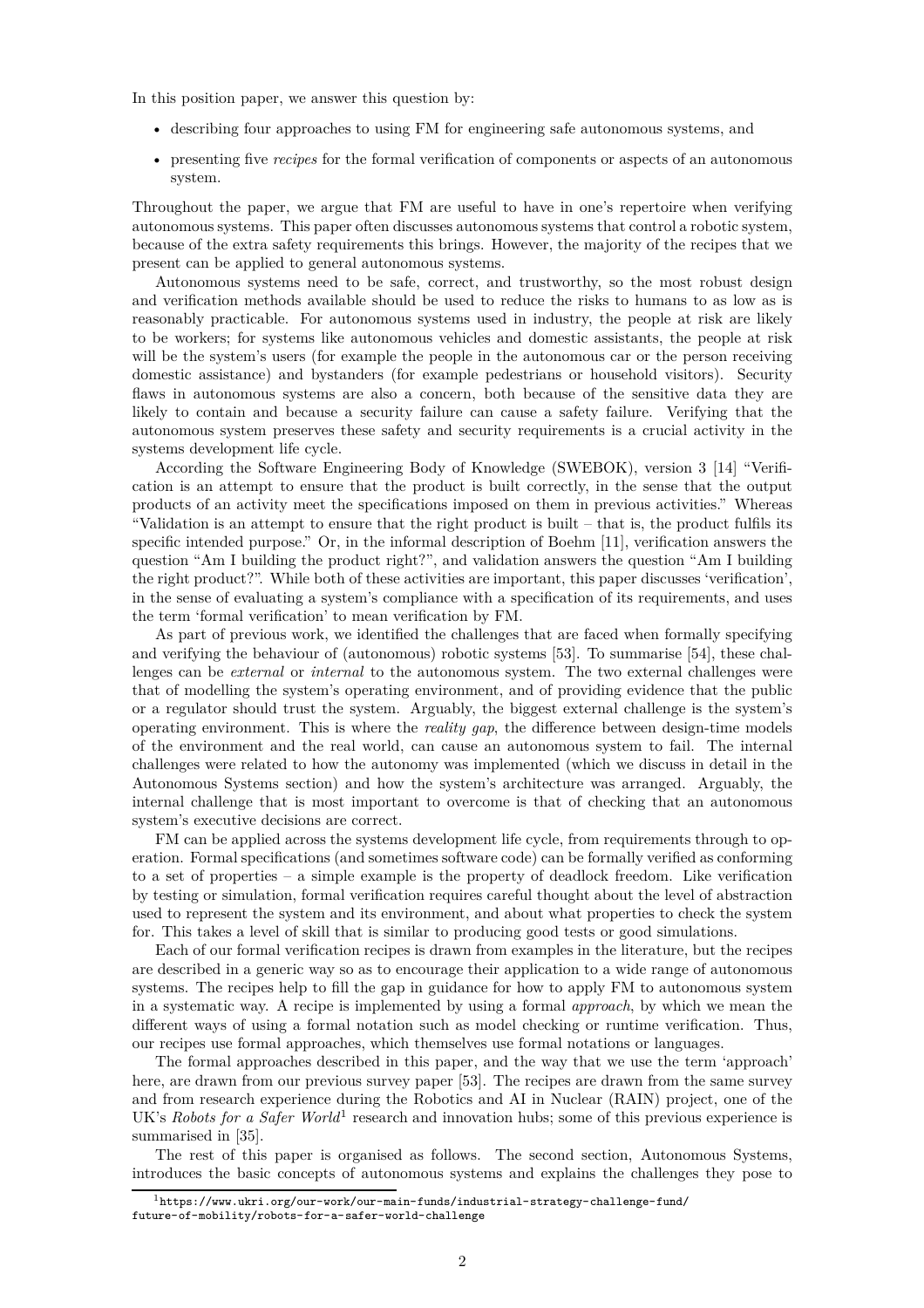In this position paper, we answer this question by:

- describing four approaches to using FM for engineering safe autonomous systems, and
- presenting five *recipes* for the formal verification of components or aspects of an autonomous system.

Throughout the paper, we argue that FM are useful to have in one's repertoire when verifying autonomous systems. This paper often discusses autonomous systems that control a robotic system, because of the extra safety requirements this brings. However, the majority of the recipes that we present can be applied to general autonomous systems.

Autonomous systems need to be safe, correct, and trustworthy, so the most robust design and verification methods available should be used to reduce the risks to humans to as low as is reasonably practicable. For autonomous systems used in industry, the people at risk are likely to be workers; for systems like autonomous vehicles and domestic assistants, the people at risk will be the system's users (for example the people in the autonomous car or the person receiving domestic assistance) and bystanders (for example pedestrians or household visitors). Security flaws in autonomous systems are also a concern, both because of the sensitive data they are likely to contain and because a security failure can cause a safety failure. Verifying that the autonomous system preserves these safety and security requirements is a crucial activity in the systems development life cycle.

According the Software Engineering Body of Knowledge (SWEBOK), version 3 [\[14\]](#page-14-1) "Verification is an attempt to ensure that the product is built correctly, in the sense that the output products of an activity meet the specifications imposed on them in previous activities." Whereas "Validation is an attempt to ensure that the right product is built – that is, the product fulfils its specific intended purpose." Or, in the informal description of Boehm [\[11\]](#page-13-0), verification answers the question "Am I building the product right?", and validation answers the question "Am I building the right product?". While both of these activities are important, this paper discusses 'verification', in the sense of evaluating a system's compliance with a specification of its requirements, and uses the term 'formal verification' to mean verification by FM.

As part of previous work, we identified the challenges that are faced when formally specifying and verifying the behaviour of (autonomous) robotic systems [\[53\]](#page-16-0). To summarise [\[54\]](#page-16-1), these challenges can be *external* or *internal* to the autonomous system. The two external challenges were that of modelling the system's operating environment, and of providing evidence that the public or a regulator should trust the system. Arguably, the biggest external challenge is the system's operating environment. This is where the *reality gap*, the difference between design-time models of the environment and the real world, can cause an autonomous system to fail. The internal challenges were related to how the autonomy was implemented (which we discuss in detail in the [Autonomous Systems](#page-2-0) section) and how the system's architecture was arranged. Arguably, the internal challenge that is most important to overcome is that of checking that an autonomous system's executive decisions are correct.

FM can be applied across the systems development life cycle, from requirements through to operation. Formal specifications (and sometimes software code) can be formally verified as conforming to a set of properties – a simple example is the property of deadlock freedom. Like verification by testing or simulation, formal verification requires careful thought about the level of abstraction used to represent the system and its environment, and about what properties to check the system for. This takes a level of skill that is similar to producing good tests or good simulations.

Each of our formal verification recipes is drawn from examples in the literature, but the recipes are described in a generic way so as to encourage their application to a wide range of autonomous systems. The recipes help to fill the gap in guidance for how to apply FM to autonomous system in a systematic way. A recipe is implemented by using a formal *approach*, by which we mean the different ways of using a formal notation such as model checking or runtime verification. Thus, our recipes use formal approaches, which themselves use formal notations or languages.

The formal approaches described in this paper, and the way that we use the term 'approach' here, are drawn from our previous survey paper [\[53\]](#page-16-0). The recipes are drawn from the same survey and from research experience during the Robotics and AI in Nuclear (RAIN) project, one of the UK's *Robots for a Safer World*<sup>[1](#page-1-0)</sup> research and innovation hubs; some of this previous experience is summarised in [\[35\]](#page-15-1).

The rest of this paper is organised as follows. The second section, [Autonomous Systems,](#page-2-0) introduces the basic concepts of autonomous systems and explains the challenges they pose to

<span id="page-1-0"></span> $1$ [https://www.ukri.org/our-work/our-main-funds/industrial-strategy-challenge-fund/](https://www.ukri.org/our-work/our-main-funds/industrial-strategy-challenge-fund/future-of-mobility/robots-for-a-safer-world-challenge) [future-of-mobility/robots-for-a-safer-world-challenge](https://www.ukri.org/our-work/our-main-funds/industrial-strategy-challenge-fund/future-of-mobility/robots-for-a-safer-world-challenge)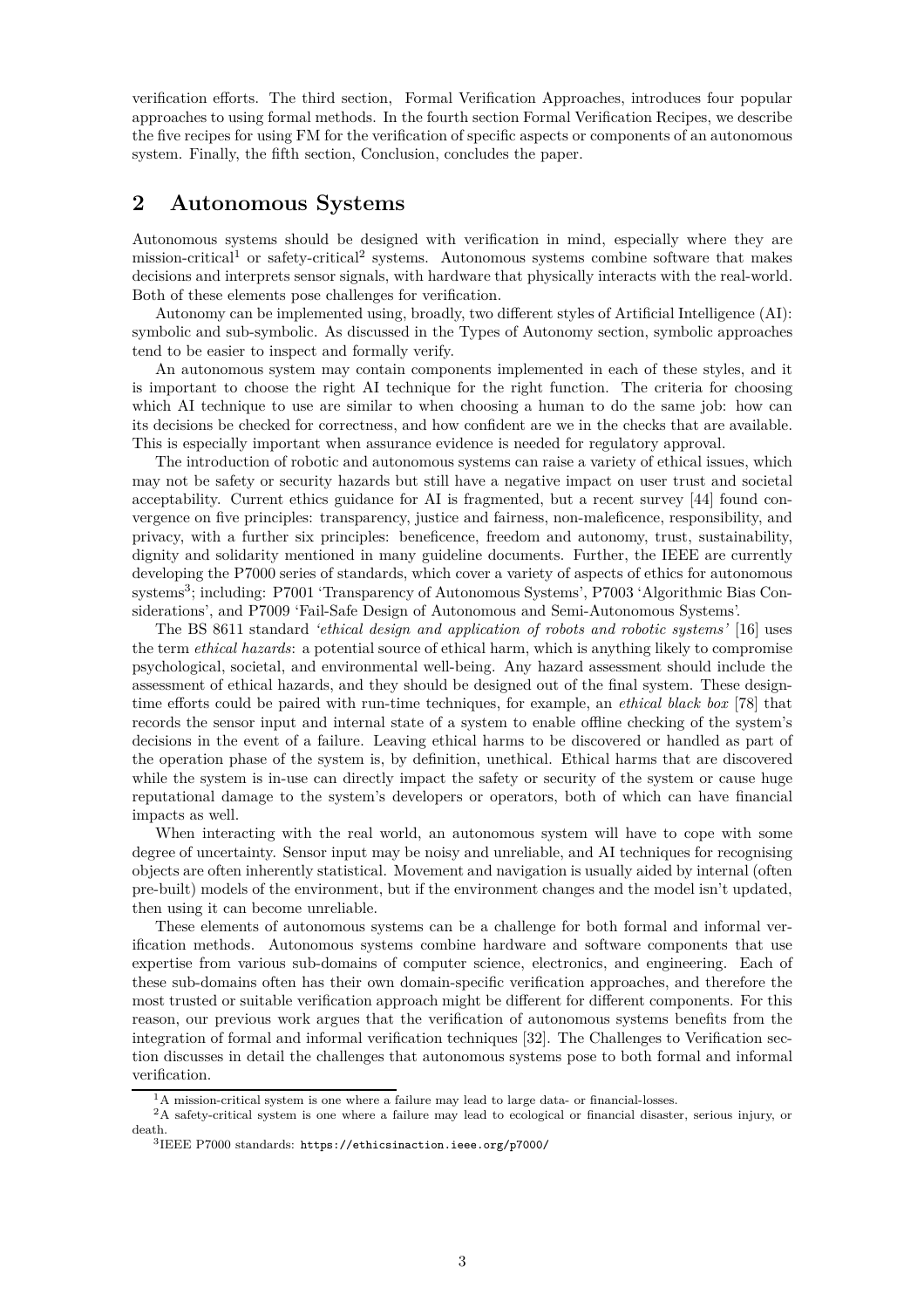verification efforts. The third section, [Formal Verification](#page-5-0) Approaches, introduces four popular approaches to using formal methods. In the fourth section [Formal Verification Recipes,](#page-7-0) we describe the five recipes for using FM for the verification of specific aspects or components of an autonomous system. Finally, the fifth section, [Conclusion,](#page-12-0) concludes the paper.

## <span id="page-2-0"></span>**2 Autonomous Systems**

Autonomous systems should be designed with verification in mind, especially where they are mission-critical<sup>[1](#page-2-1)</sup> or safety-critical<sup>[2](#page-2-2)</sup> systems. Autonomous systems combine software that makes decisions and interprets sensor signals, with hardware that physically interacts with the real-world. Both of these elements pose challenges for verification.

Autonomy can be implemented using, broadly, two different styles of Artificial Intelligence (AI): symbolic and sub-symbolic. As discussed in the [Types of Autonomy](#page-3-0) section, symbolic approaches tend to be easier to inspect and formally verify.

An autonomous system may contain components implemented in each of these styles, and it is important to choose the right AI technique for the right function. The criteria for choosing which AI technique to use are similar to when choosing a human to do the same job: how can its decisions be checked for correctness, and how confident are we in the checks that are available. This is especially important when assurance evidence is needed for regulatory approval.

The introduction of robotic and autonomous systems can raise a variety of ethical issues, which may not be safety or security hazards but still have a negative impact on user trust and societal acceptability. Current ethics guidance for AI is fragmented, but a recent survey [\[44\]](#page-15-2) found convergence on five principles: transparency, justice and fairness, non-maleficence, responsibility, and privacy, with a further six principles: beneficence, freedom and autonomy, trust, sustainability, dignity and solidarity mentioned in many guideline documents. Further, the IEEE are currently developing the P7000 series of standards, which cover a variety of aspects of ethics for autonomous systems<sup>[3](#page-2-3)</sup>; including: P7001 'Transparency of Autonomous Systems', P7003 'Algorithmic Bias Considerations', and P7009 'Fail-Safe Design of Autonomous and Semi-Autonomous Systems'.

The BS 8611 standard *'ethical design and application of robots and robotic systems'* [\[16\]](#page-14-2) uses the term *ethical hazards*: a potential source of ethical harm, which is anything likely to compromise psychological, societal, and environmental well-being. Any hazard assessment should include the assessment of ethical hazards, and they should be designed out of the final system. These designtime efforts could be paired with run-time techniques, for example, an *ethical black box* [\[78\]](#page-18-1) that records the sensor input and internal state of a system to enable offline checking of the system's decisions in the event of a failure. Leaving ethical harms to be discovered or handled as part of the operation phase of the system is, by definition, unethical. Ethical harms that are discovered while the system is in-use can directly impact the safety or security of the system or cause huge reputational damage to the system's developers or operators, both of which can have financial impacts as well.

When interacting with the real world, an autonomous system will have to cope with some degree of uncertainty. Sensor input may be noisy and unreliable, and AI techniques for recognising objects are often inherently statistical. Movement and navigation is usually aided by internal (often pre-built) models of the environment, but if the environment changes and the model isn't updated, then using it can become unreliable.

These elements of autonomous systems can be a challenge for both formal and informal verification methods. Autonomous systems combine hardware and software components that use expertise from various sub-domains of computer science, electronics, and engineering. Each of these sub-domains often has their own domain-specific verification approaches, and therefore the most trusted or suitable verification approach might be different for different components. For this reason, our previous work argues that the verification of autonomous systems benefits from the integration of formal and informal verification techniques [\[32\]](#page-15-3). The [Challenges to Verification](#page-3-1) section discusses in detail the challenges that autonomous systems pose to both formal and informal verification.

<span id="page-2-1"></span><sup>&</sup>lt;sup>1</sup>A mission-critical system is one where a failure may lead to large data- or financial-losses.

<sup>&</sup>lt;sup>2</sup>A safety-critical system is one where a failure may lead to ecological or financial disaster, serious injury, or death.

<span id="page-2-3"></span><span id="page-2-2"></span><sup>3</sup> IEEE P7000 standards: <https://ethicsinaction.ieee.org/p7000/>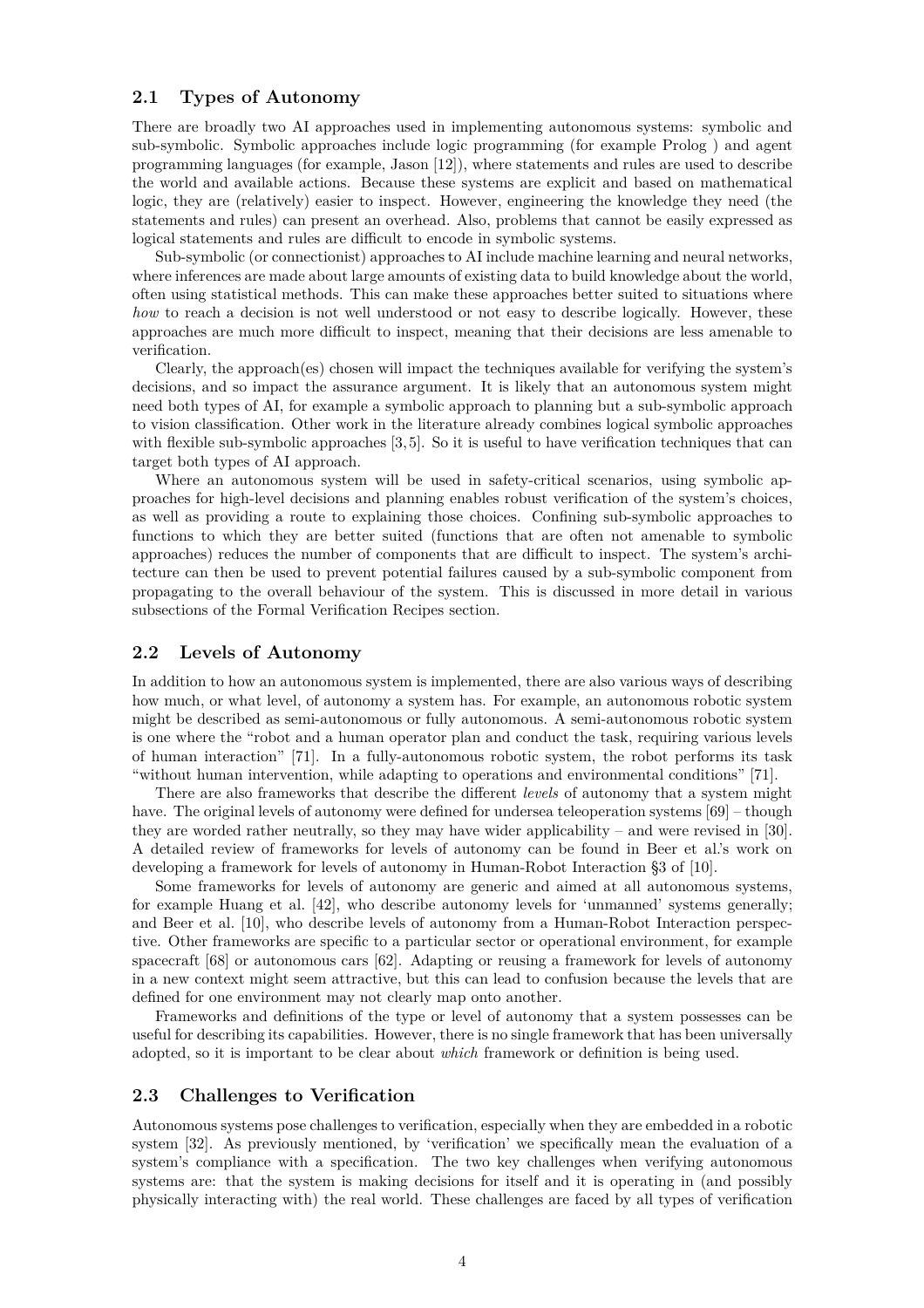#### <span id="page-3-0"></span>**2.1 Types of Autonomy**

There are broadly two AI approaches used in implementing autonomous systems: symbolic and sub-symbolic. Symbolic approaches include logic programming (for example Prolog ) and agent programming languages (for example, Jason [\[12\]](#page-13-1)), where statements and rules are used to describe the world and available actions. Because these systems are explicit and based on mathematical logic, they are (relatively) easier to inspect. However, engineering the knowledge they need (the statements and rules) can present an overhead. Also, problems that cannot be easily expressed as logical statements and rules are difficult to encode in symbolic systems.

Sub-symbolic (or connectionist) approaches to AI include machine learning and neural networks, where inferences are made about large amounts of existing data to build knowledge about the world, often using statistical methods. This can make these approaches better suited to situations where *how* to reach a decision is not well understood or not easy to describe logically. However, these approaches are much more difficult to inspect, meaning that their decisions are less amenable to verification.

Clearly, the approach(es) chosen will impact the techniques available for verifying the system's decisions, and so impact the assurance argument. It is likely that an autonomous system might need both types of AI, for example a symbolic approach to planning but a sub-symbolic approach to vision classification. Other work in the literature already combines logical symbolic approaches with flexible sub-symbolic approaches [\[3,](#page-13-2)5]. So it is useful to have verification techniques that can target both types of AI approach.

Where an autonomous system will be used in safety-critical scenarios, using symbolic approaches for high-level decisions and planning enables robust verification of the system's choices, as well as providing a route to explaining those choices. Confining sub-symbolic approaches to functions to which they are better suited (functions that are often not amenable to symbolic approaches) reduces the number of components that are difficult to inspect. The system's architecture can then be used to prevent potential failures caused by a sub-symbolic component from propagating to the overall behaviour of the system. This is discussed in more detail in various subsections of the [Formal Verification Recipes](#page-7-0) section.

#### **2.2 Levels of Autonomy**

In addition to how an autonomous system is implemented, there are also various ways of describing how much, or what level, of autonomy a system has. For example, an autonomous robotic system might be described as semi-autonomous or fully autonomous. A semi-autonomous robotic system is one where the "robot and a human operator plan and conduct the task, requiring various levels of human interaction" [\[71\]](#page-17-0). In a fully-autonomous robotic system, the robot performs its task "without human intervention, while adapting to operations and environmental conditions" [\[71\]](#page-17-0).

There are also frameworks that describe the different *levels* of autonomy that a system might have. The original levels of autonomy were defined for undersea teleoperation systems  $[69]$  – though they are worded rather neutrally, so they may have wider applicability – and were revised in [\[30\]](#page-15-4). A detailed review of frameworks for levels of autonomy can be found in Beer et al.'s work on developing a framework for levels of autonomy in Human-Robot Interaction §3 of [\[10\]](#page-13-4).

Some frameworks for levels of autonomy are generic and aimed at all autonomous systems, for example Huang et al. [\[42\]](#page-15-5), who describe autonomy levels for 'unmanned' systems generally; and Beer et al. [\[10\]](#page-13-4), who describe levels of autonomy from a Human-Robot Interaction perspective. Other frameworks are specific to a particular sector or operational environment, for example spacecraft [\[68\]](#page-17-2) or autonomous cars [\[62\]](#page-17-3). Adapting or reusing a framework for levels of autonomy in a new context might seem attractive, but this can lead to confusion because the levels that are defined for one environment may not clearly map onto another.

Frameworks and definitions of the type or level of autonomy that a system possesses can be useful for describing its capabilities. However, there is no single framework that has been universally adopted, so it is important to be clear about *which* framework or definition is being used.

## <span id="page-3-1"></span>**2.3 Challenges to Verification**

Autonomous systems pose challenges to verification, especially when they are embedded in a robotic system [\[32\]](#page-15-3). As previously mentioned, by 'verification' we specifically mean the evaluation of a system's compliance with a specification. The two key challenges when verifying autonomous systems are: that the system is making decisions for itself and it is operating in (and possibly physically interacting with) the real world. These challenges are faced by all types of verification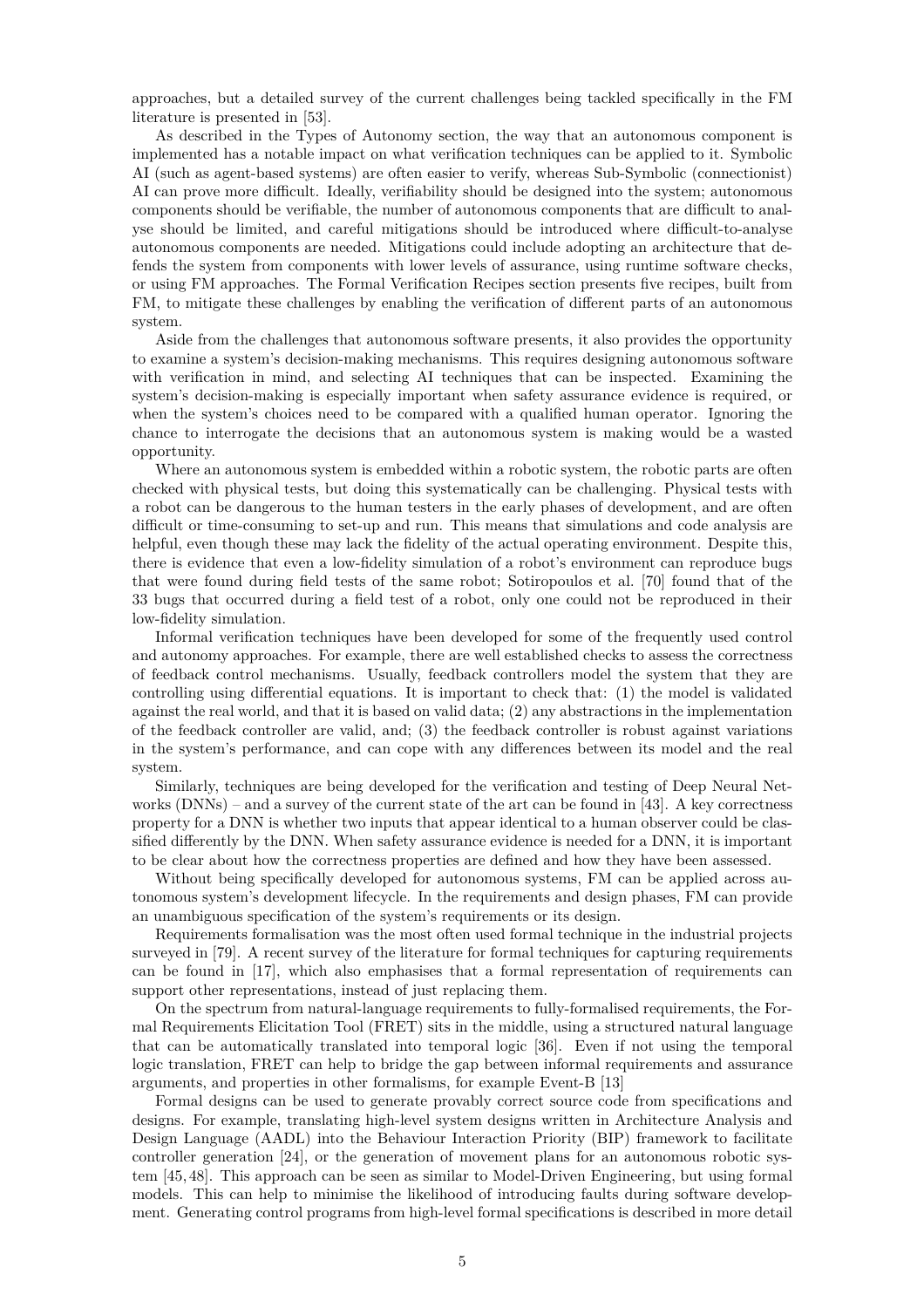approaches, but a detailed survey of the current challenges being tackled specifically in the FM literature is presented in [\[53\]](#page-16-0).

As described in the [Types of Autonomy](#page-3-0) section, the way that an autonomous component is implemented has a notable impact on what verification techniques can be applied to it. Symbolic AI (such as agent-based systems) are often easier to verify, whereas Sub-Symbolic (connectionist) AI can prove more difficult. Ideally, verifiability should be designed into the system; autonomous components should be verifiable, the number of autonomous components that are difficult to analyse should be limited, and careful mitigations should be introduced where difficult-to-analyse autonomous components are needed. Mitigations could include adopting an architecture that defends the system from components with lower levels of assurance, using runtime software checks, or using FM approaches. The [Formal Verification Recipes](#page-7-0) section presents five recipes, built from FM, to mitigate these challenges by enabling the verification of different parts of an autonomous system.

Aside from the challenges that autonomous software presents, it also provides the opportunity to examine a system's decision-making mechanisms. This requires designing autonomous software with verification in mind, and selecting AI techniques that can be inspected. Examining the system's decision-making is especially important when safety assurance evidence is required, or when the system's choices need to be compared with a qualified human operator. Ignoring the chance to interrogate the decisions that an autonomous system is making would be a wasted opportunity.

Where an autonomous system is embedded within a robotic system, the robotic parts are often checked with physical tests, but doing this systematically can be challenging. Physical tests with a robot can be dangerous to the human testers in the early phases of development, and are often difficult or time-consuming to set-up and run. This means that simulations and code analysis are helpful, even though these may lack the fidelity of the actual operating environment. Despite this, there is evidence that even a low-fidelity simulation of a robot's environment can reproduce bugs that were found during field tests of the same robot; Sotiropoulos et al. [\[70\]](#page-17-4) found that of the 33 bugs that occurred during a field test of a robot, only one could not be reproduced in their low-fidelity simulation.

Informal verification techniques have been developed for some of the frequently used control and autonomy approaches. For example, there are well established checks to assess the correctness of feedback control mechanisms. Usually, feedback controllers model the system that they are controlling using differential equations. It is important to check that: (1) the model is validated against the real world, and that it is based on valid data; (2) any abstractions in the implementation of the feedback controller are valid, and; (3) the feedback controller is robust against variations in the system's performance, and can cope with any differences between its model and the real system.

Similarly, techniques are being developed for the verification and testing of Deep Neural Networks (DNNs) – and a survey of the current state of the art can be found in [\[43\]](#page-15-6). A key correctness property for a DNN is whether two inputs that appear identical to a human observer could be classified differently by the DNN. When safety assurance evidence is needed for a DNN, it is important to be clear about how the correctness properties are defined and how they have been assessed.

Without being specifically developed for autonomous systems, FM can be applied across autonomous system's development lifecycle. In the requirements and design phases, FM can provide an unambiguous specification of the system's requirements or its design.

Requirements formalisation was the most often used formal technique in the industrial projects surveyed in [\[79\]](#page-18-0). A recent survey of the literature for formal techniques for capturing requirements can be found in [\[17\]](#page-14-3), which also emphasises that a formal representation of requirements can support other representations, instead of just replacing them.

On the spectrum from natural-language requirements to fully-formalised requirements, the Formal Requirements Elicitation Tool (FRET) sits in the middle, using a structured natural language that can be automatically translated into temporal logic [\[36\]](#page-15-7). Even if not using the temporal logic translation, FRET can help to bridge the gap between informal requirements and assurance arguments, and properties in other formalisms, for example Event-B [\[13\]](#page-14-4)

Formal designs can be used to generate provably correct source code from specifications and designs. For example, translating high-level system designs written in Architecture Analysis and Design Language (AADL) into the Behaviour Interaction Priority (BIP) framework to facilitate controller generation [\[24\]](#page-14-5), or the generation of movement plans for an autonomous robotic system [\[45,](#page-16-2) [48\]](#page-16-3). This approach can be seen as similar to Model-Driven Engineering, but using formal models. This can help to minimise the likelihood of introducing faults during software development. Generating control programs from high-level formal specifications is described in more detail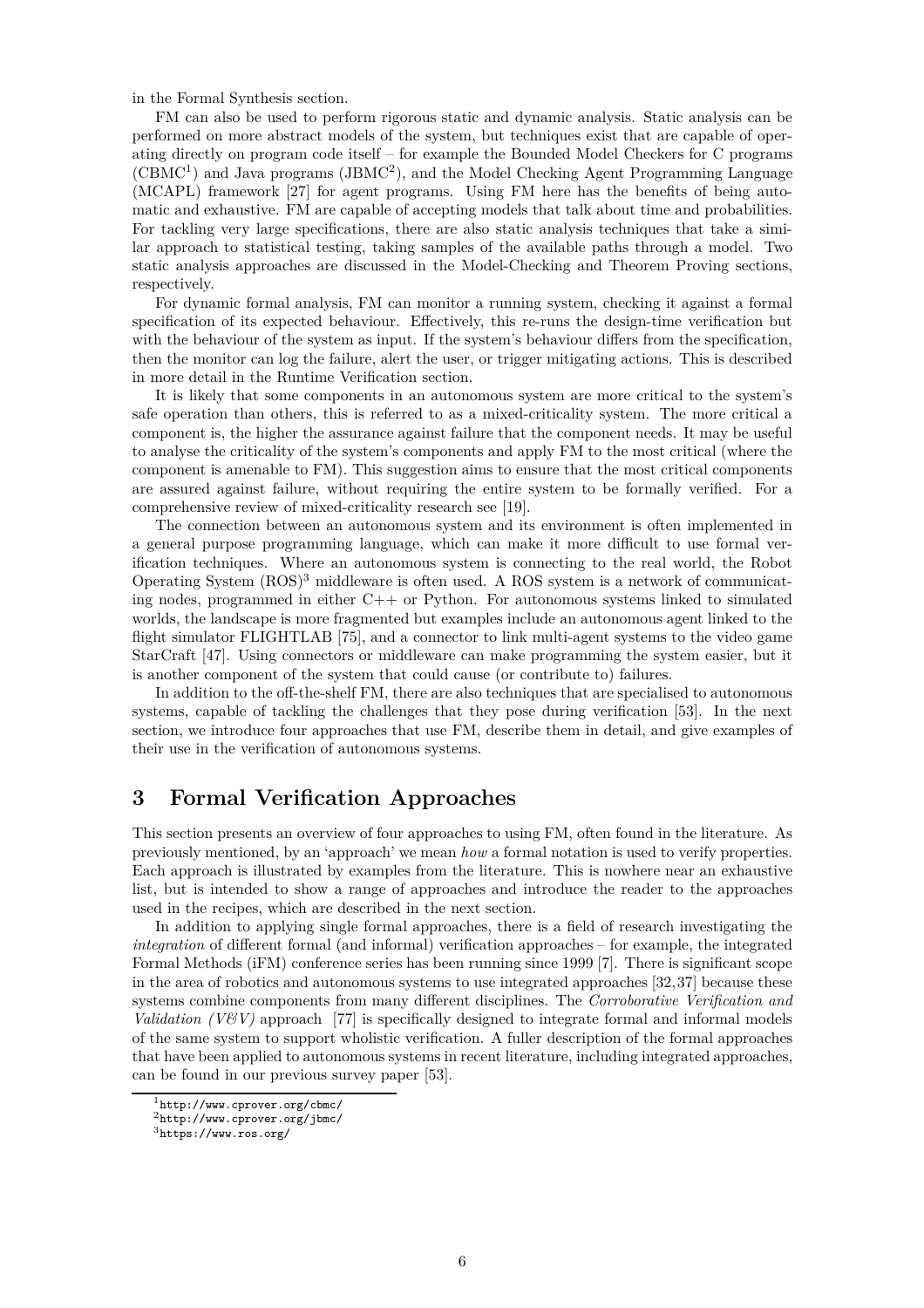in the [Formal Synthesis](#page-7-1) section.

FM can also be used to perform rigorous static and dynamic analysis. Static analysis can be performed on more abstract models of the system, but techniques exist that are capable of operating directly on program code itself – for example the Bounded Model Checkers for C programs (CBMC<sup>[1](#page-5-1)</sup>) and Java programs (JBMC<sup>[2](#page-5-2)</sup>), and the Model Checking Agent Programming Language (MCAPL) framework [\[27\]](#page-14-6) for agent programs. Using FM here has the benefits of being automatic and exhaustive. FM are capable of accepting models that talk about time and probabilities. For tackling very large specifications, there are also static analysis techniques that take a similar approach to statistical testing, taking samples of the available paths through a model. Two static analysis approaches are discussed in the [Model-Checking](#page-6-0) and [Theorem Proving](#page-6-1) sections, respectively.

For dynamic formal analysis, FM can monitor a running system, checking it against a formal specification of its expected behaviour. Effectively, this re-runs the design-time verification but with the behaviour of the system as input. If the system's behaviour differs from the specification, then the monitor can log the failure, alert the user, or trigger mitigating actions. This is described in more detail in the [Runtime Verification](#page-6-2) section.

It is likely that some components in an autonomous system are more critical to the system's safe operation than others, this is referred to as a mixed-criticality system. The more critical a component is, the higher the assurance against failure that the component needs. It may be useful to analyse the criticality of the system's components and apply FM to the most critical (where the component is amenable to FM). This suggestion aims to ensure that the most critical components are assured against failure, without requiring the entire system to be formally verified. For a comprehensive review of mixed-criticality research see [\[19\]](#page-14-7).

The connection between an autonomous system and its environment is often implemented in a general purpose programming language, which can make it more difficult to use formal verification techniques. Where an autonomous system is connecting to the real world, the Robot Operating System (ROS)[3](#page-5-3) middleware is often used. A ROS system is a network of communicating nodes, programmed in either C++ or Python. For autonomous systems linked to simulated worlds, the landscape is more fragmented but examples include an autonomous agent linked to the flight simulator FLIGHTLAB [\[75\]](#page-17-5), and a connector to link multi-agent systems to the video game StarCraft [\[47\]](#page-16-4). Using connectors or middleware can make programming the system easier, but it is another component of the system that could cause (or contribute to) failures.

In addition to the off-the-shelf FM, there are also techniques that are specialised to autonomous systems, capable of tackling the challenges that they pose during verification [\[53\]](#page-16-0). In the next section, we introduce four approaches that use FM, describe them in detail, and give examples of their use in the verification of autonomous systems.

## <span id="page-5-0"></span>**3 Formal Verification Approaches**

This section presents an overview of four approaches to using FM, often found in the literature. As previously mentioned, by an 'approach' we mean *how* a formal notation is used to verify properties. Each approach is illustrated by examples from the literature. This is nowhere near an exhaustive list, but is intended to show a range of approaches and introduce the reader to the approaches used in the recipes, which are described in the next section.

In addition to applying single formal approaches, there is a field of research investigating the *integration* of different formal (and informal) verification approaches – for example, the integrated Formal Methods (iFM) conference series has been running since 1999 [\[7\]](#page-13-5). There is significant scope in the area of robotics and autonomous systems to use integrated approaches [\[32,](#page-15-3)[37\]](#page-15-8) because these systems combine components from many different disciplines. The *Corroborative Verification and Validation (V&V)* approach [\[77\]](#page-18-2) is specifically designed to integrate formal and informal models of the same system to support wholistic verification. A fuller description of the formal approaches that have been applied to autonomous systems in recent literature, including integrated approaches, can be found in our previous survey paper [\[53\]](#page-16-0).

<sup>1</sup><http://www.cprover.org/cbmc/>

<span id="page-5-1"></span><sup>2</sup><http://www.cprover.org/jbmc/>

<span id="page-5-3"></span><span id="page-5-2"></span><sup>3</sup><https://www.ros.org/>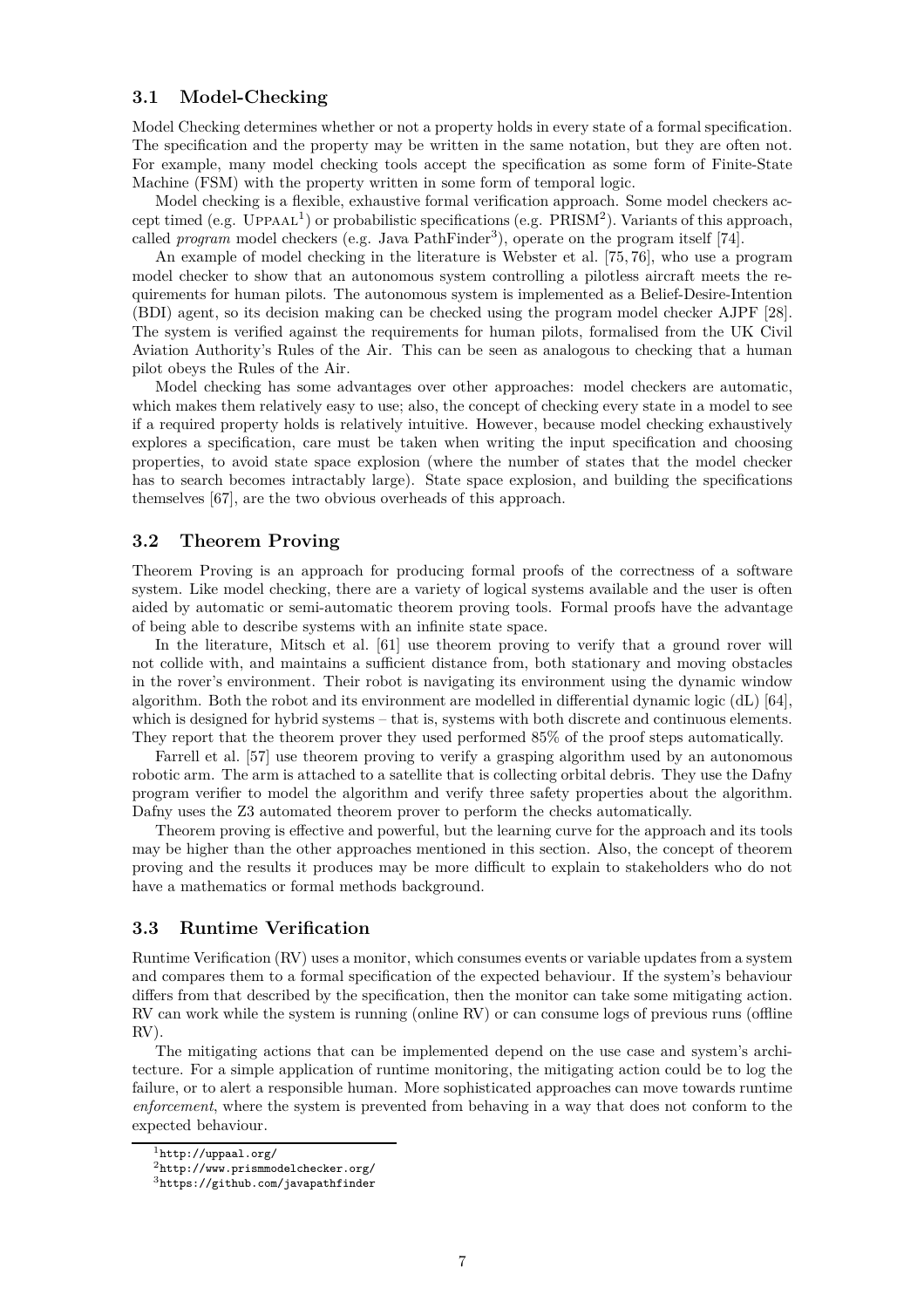## <span id="page-6-0"></span>**3.1 Model-Checking**

Model Checking determines whether or not a property holds in every state of a formal specification. The specification and the property may be written in the same notation, but they are often not. For example, many model checking tools accept the specification as some form of Finite-State Machine (FSM) with the property written in some form of temporal logic.

Model checking is a flexible, exhaustive formal verification approach. Some model checkers ac-cept timed (e.g. UPPAAL<sup>[1](#page-6-3)</sup>) or probabilistic specifications (e.g.  $\overline{PRISM}^2$  $\overline{PRISM}^2$ ). Variants of this approach, called *program* model checkers (e.g. Java PathFinder<sup>[3](#page-6-5)</sup>), operate on the program itself [\[74\]](#page-17-6).

An example of model checking in the literature is Webster et al. [\[75,](#page-17-5) [76\]](#page-17-7), who use a program model checker to show that an autonomous system controlling a pilotless aircraft meets the requirements for human pilots. The autonomous system is implemented as a Belief-Desire-Intention (BDI) agent, so its decision making can be checked using the program model checker AJPF [\[28\]](#page-14-8). The system is verified against the requirements for human pilots, formalised from the UK Civil Aviation Authority's Rules of the Air. This can be seen as analogous to checking that a human pilot obeys the Rules of the Air.

Model checking has some advantages over other approaches: model checkers are automatic, which makes them relatively easy to use; also, the concept of checking every state in a model to see if a required property holds is relatively intuitive. However, because model checking exhaustively explores a specification, care must be taken when writing the input specification and choosing properties, to avoid state space explosion (where the number of states that the model checker has to search becomes intractably large). State space explosion, and building the specifications themselves [\[67\]](#page-17-8), are the two obvious overheads of this approach.

## <span id="page-6-1"></span>**3.2 Theorem Proving**

Theorem Proving is an approach for producing formal proofs of the correctness of a software system. Like model checking, there are a variety of logical systems available and the user is often aided by automatic or semi-automatic theorem proving tools. Formal proofs have the advantage of being able to describe systems with an infinite state space.

In the literature, Mitsch et al. [\[61\]](#page-17-9) use theorem proving to verify that a ground rover will not collide with, and maintains a sufficient distance from, both stationary and moving obstacles in the rover's environment. Their robot is navigating its environment using the dynamic window algorithm. Both the robot and its environment are modelled in differential dynamic logic (dL) [\[64\]](#page-17-10), which is designed for hybrid systems – that is, systems with both discrete and continuous elements. They report that the theorem prover they used performed 85% of the proof steps automatically.

Farrell et al. [\[57\]](#page-16-5) use theorem proving to verify a grasping algorithm used by an autonomous robotic arm. The arm is attached to a satellite that is collecting orbital debris. They use the Dafny program verifier to model the algorithm and verify three safety properties about the algorithm. Dafny uses the Z3 automated theorem prover to perform the checks automatically.

Theorem proving is effective and powerful, but the learning curve for the approach and its tools may be higher than the other approaches mentioned in this section. Also, the concept of theorem proving and the results it produces may be more difficult to explain to stakeholders who do not have a mathematics or formal methods background.

#### <span id="page-6-2"></span>**3.3 Runtime Verification**

Runtime Verification (RV) uses a monitor, which consumes events or variable updates from a system and compares them to a formal specification of the expected behaviour. If the system's behaviour differs from that described by the specification, then the monitor can take some mitigating action. RV can work while the system is running (online RV) or can consume logs of previous runs (offline  $RV$ ).

The mitigating actions that can be implemented depend on the use case and system's architecture. For a simple application of runtime monitoring, the mitigating action could be to log the failure, or to alert a responsible human. More sophisticated approaches can move towards runtime *enforcement*, where the system is prevented from behaving in a way that does not conform to the expected behaviour.

 $^1$ <http://uppaal.org/>

<span id="page-6-3"></span> $^{2}$ <http://www.prismmodelchecker.org/>

<span id="page-6-5"></span><span id="page-6-4"></span><sup>3</sup><https://github.com/javapathfinder>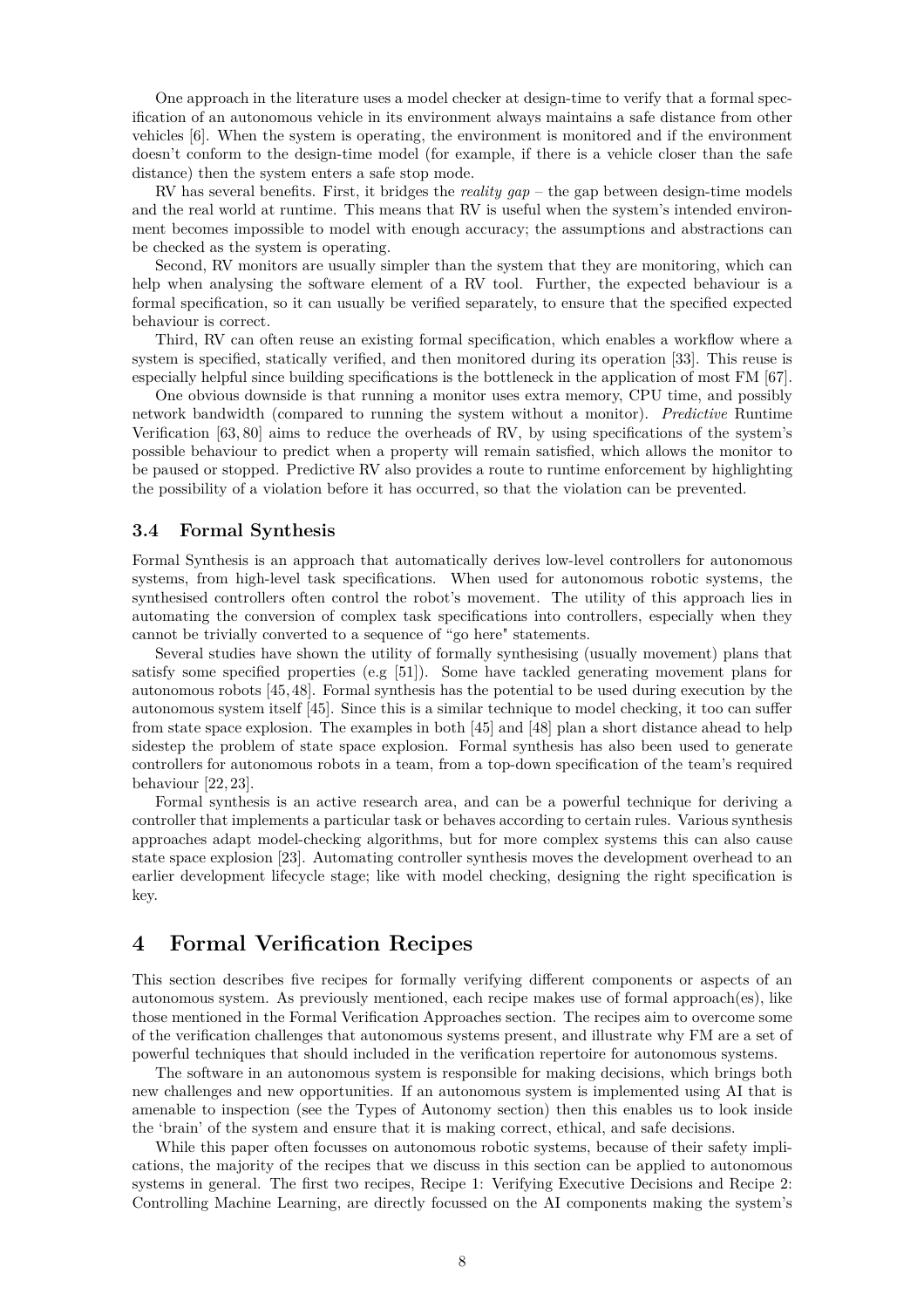One approach in the literature uses a model checker at design-time to verify that a formal specification of an autonomous vehicle in its environment always maintains a safe distance from other vehicles [\[6\]](#page-13-6). When the system is operating, the environment is monitored and if the environment doesn't conform to the design-time model (for example, if there is a vehicle closer than the safe distance) then the system enters a safe stop mode.

RV has several benefits. First, it bridges the *reality gap* – the gap between design-time models and the real world at runtime. This means that RV is useful when the system's intended environment becomes impossible to model with enough accuracy; the assumptions and abstractions can be checked as the system is operating.

Second, RV monitors are usually simpler than the system that they are monitoring, which can help when analysing the software element of a RV tool. Further, the expected behaviour is a formal specification, so it can usually be verified separately, to ensure that the specified expected behaviour is correct.

Third, RV can often reuse an existing formal specification, which enables a workflow where a system is specified, statically verified, and then monitored during its operation [\[33\]](#page-15-9). This reuse is especially helpful since building specifications is the bottleneck in the application of most FM [\[67\]](#page-17-8).

One obvious downside is that running a monitor uses extra memory, CPU time, and possibly network bandwidth (compared to running the system without a monitor). *Predictive* Runtime Verification [\[63,](#page-17-11) [80\]](#page-18-3) aims to reduce the overheads of RV, by using specifications of the system's possible behaviour to predict when a property will remain satisfied, which allows the monitor to be paused or stopped. Predictive RV also provides a route to runtime enforcement by highlighting the possibility of a violation before it has occurred, so that the violation can be prevented.

#### <span id="page-7-1"></span>**3.4 Formal Synthesis**

Formal Synthesis is an approach that automatically derives low-level controllers for autonomous systems, from high-level task specifications. When used for autonomous robotic systems, the synthesised controllers often control the robot's movement. The utility of this approach lies in automating the conversion of complex task specifications into controllers, especially when they cannot be trivially converted to a sequence of "go here" statements.

Several studies have shown the utility of formally synthesising (usually movement) plans that satisfy some specified properties (e.g  $[51]$ ). Some have tackled generating movement plans for autonomous robots [\[45,](#page-16-2) [48\]](#page-16-3). Formal synthesis has the potential to be used during execution by the autonomous system itself [\[45\]](#page-16-2). Since this is a similar technique to model checking, it too can suffer from state space explosion. The examples in both [\[45\]](#page-16-2) and [\[48\]](#page-16-3) plan a short distance ahead to help sidestep the problem of state space explosion. Formal synthesis has also been used to generate controllers for autonomous robots in a team, from a top-down specification of the team's required behaviour [\[22,](#page-14-9) [23\]](#page-14-10).

Formal synthesis is an active research area, and can be a powerful technique for deriving a controller that implements a particular task or behaves according to certain rules. Various synthesis approaches adapt model-checking algorithms, but for more complex systems this can also cause state space explosion [\[23\]](#page-14-10). Automating controller synthesis moves the development overhead to an earlier development lifecycle stage; like with model checking, designing the right specification is key.

## <span id="page-7-0"></span>**4 Formal Verification Recipes**

This section describes five recipes for formally verifying different components or aspects of an autonomous system. As previously mentioned, each recipe makes use of formal approach(es), like those mentioned in the [Formal Verification Approaches](#page-5-0) section. The recipes aim to overcome some of the verification challenges that autonomous systems present, and illustrate why FM are a set of powerful techniques that should included in the verification repertoire for autonomous systems.

The software in an autonomous system is responsible for making decisions, which brings both new challenges and new opportunities. If an autonomous system is implemented using AI that is amenable to inspection (see the [Types of Autonomy](#page-3-0) section) then this enables us to look inside the 'brain' of the system and ensure that it is making correct, ethical, and safe decisions.

While this paper often focusses on autonomous robotic systems, because of their safety implications, the majority of the recipes that we discuss in this section can be applied to autonomous systems in general. The first [two recipes,](#page-9-0) [Recipe 1: Verifying Executive Decisions](#page-8-0) [and](#page-9-0) Recipe 2: Controlling Machine Learning, are directly focussed on the AI components making the system's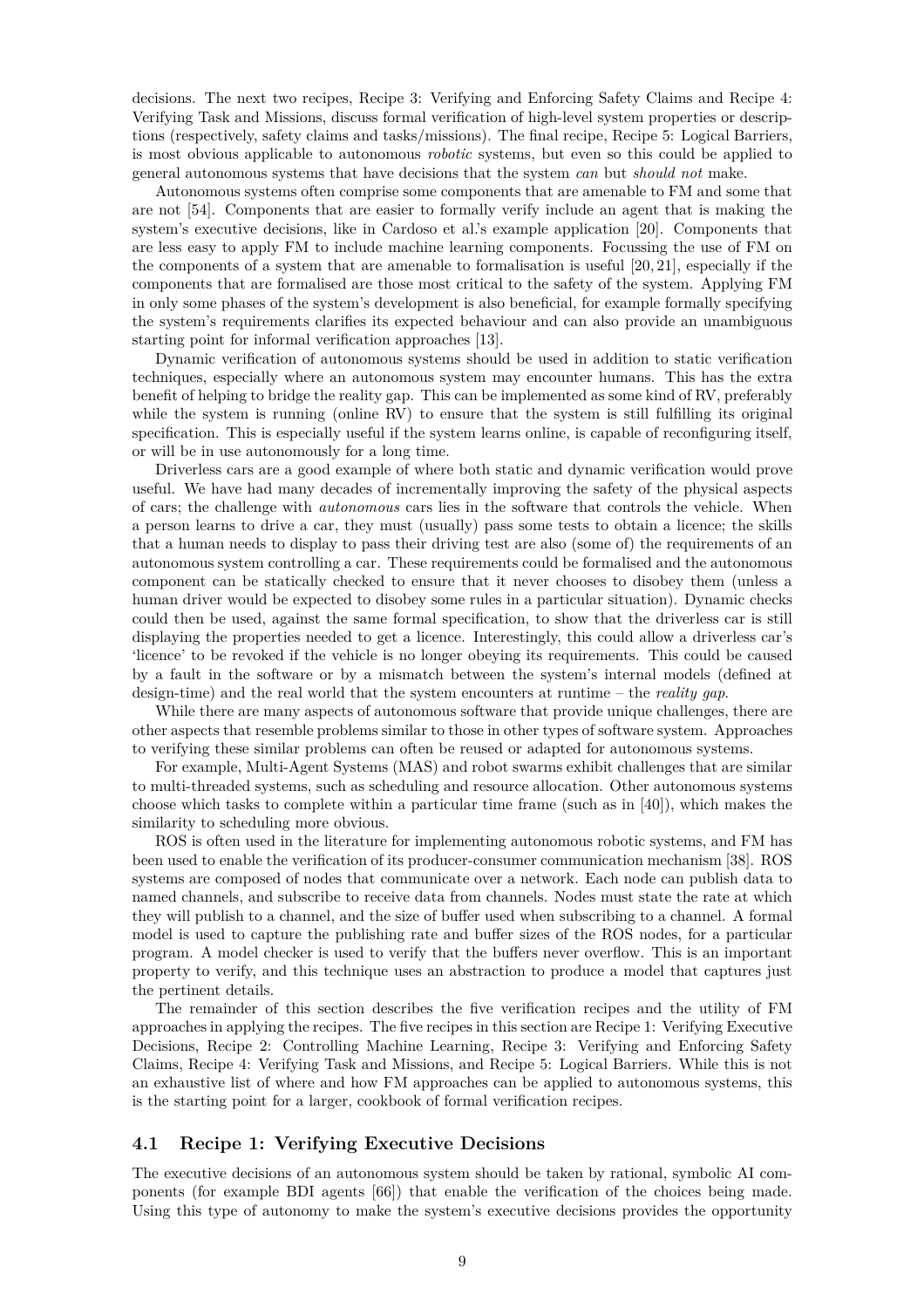decisions. The next two recipes, [Recipe 3: Verifying and Enforcing Safety Claims](#page-10-0) and Recipe 4: Verifying Task and Missions, discuss formal verification of high-level system properties or descriptions (respectively, safety claims and tasks/missions). The final recipe, [Recipe 5: Logical Barriers,](#page-11-0) is most obvious applicable to autonomous *robotic* systems, but even so this could be applied to general autonomous systems that have decisions that the system *can* but *should not* make.

Autonomous systems often comprise some components that are amenable to FM and some that are not [\[54\]](#page-16-1). Components that are easier to formally verify include an agent that is making the system's executive decisions, like in Cardoso et al.'s example application [\[20\]](#page-14-11). Components that are less easy to apply FM to include machine learning components. Focussing the use of FM on the components of a system that are amenable to formalisation is useful [\[20,](#page-14-11) [21\]](#page-14-12), especially if the components that are formalised are those most critical to the safety of the system. Applying FM in only some phases of the system's development is also beneficial, for example formally specifying the system's requirements clarifies its expected behaviour and can also provide an unambiguous starting point for informal verification approaches [\[13\]](#page-14-4).

Dynamic verification of autonomous systems should be used in addition to static verification techniques, especially where an autonomous system may encounter humans. This has the extra benefit of helping to bridge the reality gap. This can be implemented as some kind of RV, preferably while the system is running (online RV) to ensure that the system is still fulfilling its original specification. This is especially useful if the system learns online, is capable of reconfiguring itself, or will be in use autonomously for a long time.

Driverless cars are a good example of where both static and dynamic verification would prove useful. We have had many decades of incrementally improving the safety of the physical aspects of cars; the challenge with *autonomous* cars lies in the software that controls the vehicle. When a person learns to drive a car, they must (usually) pass some tests to obtain a licence; the skills that a human needs to display to pass their driving test are also (some of) the requirements of an autonomous system controlling a car. These requirements could be formalised and the autonomous component can be statically checked to ensure that it never chooses to disobey them (unless a human driver would be expected to disobey some rules in a particular situation). Dynamic checks could then be used, against the same formal specification, to show that the driverless car is still displaying the properties needed to get a licence. Interestingly, this could allow a driverless car's 'licence' to be revoked if the vehicle is no longer obeying its requirements. This could be caused by a fault in the software or by a mismatch between the system's internal models (defined at design-time) and the real world that the system encounters at runtime – the *reality gap*.

While there are many aspects of autonomous software that provide unique challenges, there are other aspects that resemble problems similar to those in other types of software system. Approaches to verifying these similar problems can often be reused or adapted for autonomous systems.

For example, Multi-Agent Systems (MAS) and robot swarms exhibit challenges that are similar to multi-threaded systems, such as scheduling and resource allocation. Other autonomous systems choose which tasks to complete within a particular time frame (such as in [\[40\]](#page-15-10)), which makes the similarity to scheduling more obvious.

ROS is often used in the literature for implementing autonomous robotic systems, and FM has been used to enable the verification of its producer-consumer communication mechanism [\[38\]](#page-15-11). ROS systems are composed of nodes that communicate over a network. Each node can publish data to named channels, and subscribe to receive data from channels. Nodes must state the rate at which they will publish to a channel, and the size of buffer used when subscribing to a channel. A formal model is used to capture the publishing rate and buffer sizes of the ROS nodes, for a particular program. A model checker is used to verify that the buffers never overflow. This is an important property to verify, and this technique uses an abstraction to produce a model that captures just the pertinent details.

The remainder of this section describes the five verification recipes and the utility of FM approaches in applying the recipes. The five recipes in this section are Recipe 1: Verifying Executive Decisions[,](#page-8-0) [Recipe 2: Controlling Machine Learning,](#page-9-0) [Recipe](#page-8-0) 3: Verifying and Enforcing Safety Claims[,](#page-10-0) [Recipe 4: Verifying Task and Missions,](#page-10-1) [and R](#page-10-0)ecipe 5: [Logical Barriers.](#page-11-0) While this is not an exhaustive list of where and how FM approaches can be applied to autonomous systems, this is the starting point for a larger, cookbook of formal verification recipes.

#### <span id="page-8-0"></span>**4.1 Recipe 1: Verifying Executive Decisions**

The executive decisions of an autonomous system should be taken by rational, symbolic AI components (for example BDI agents [\[66\]](#page-17-12)) that enable the verification of the choices being made. Using this type of autonomy to make the system's executive decisions provides the opportunity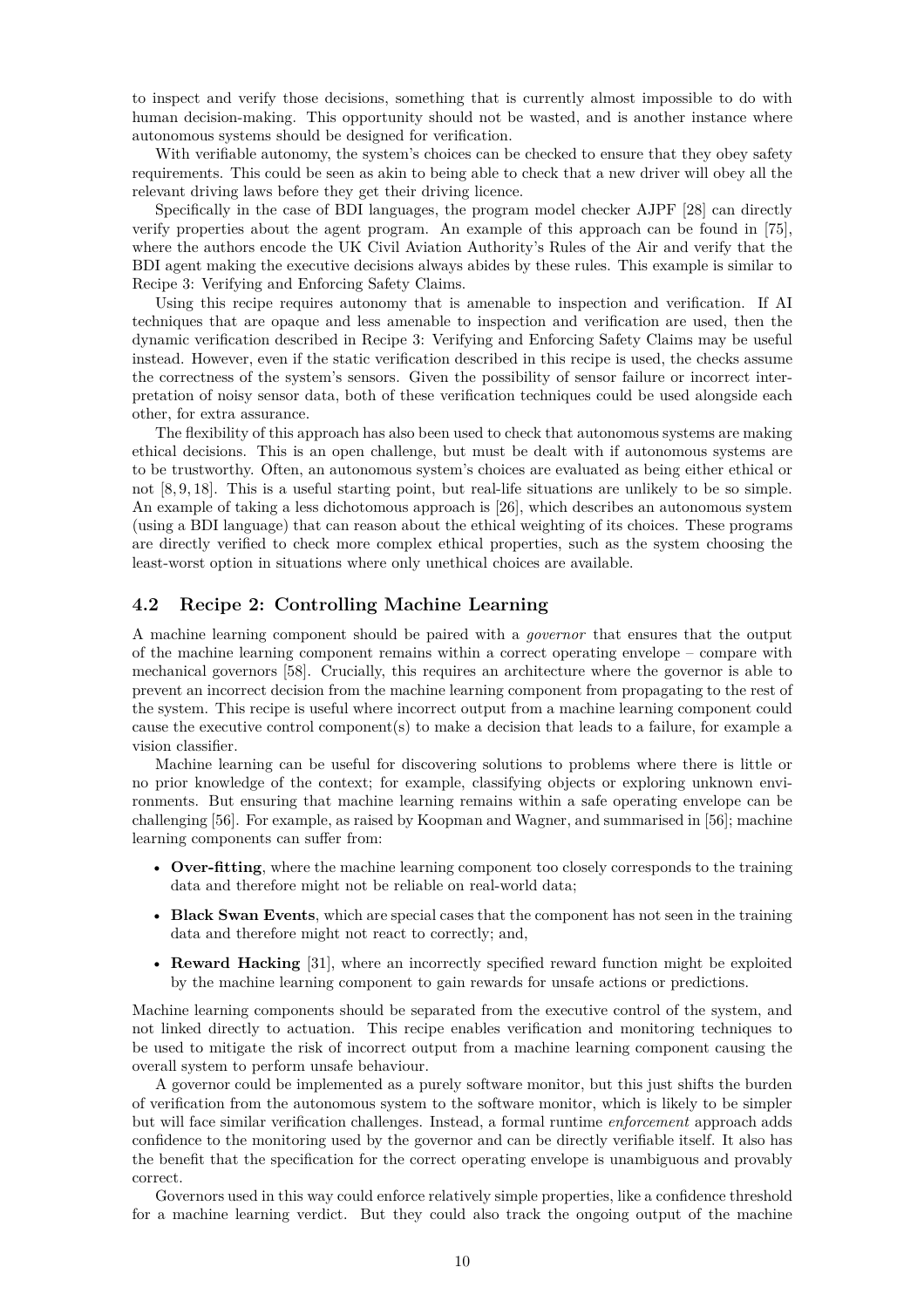to inspect and verify those decisions, something that is currently almost impossible to do with human decision-making. This opportunity should not be wasted, and is another instance where autonomous systems should be designed for verification.

With verifiable autonomy, the system's choices can be checked to ensure that they obey safety requirements. This could be seen as akin to being able to check that a new driver will obey all the relevant driving laws before they get their driving licence.

Specifically in the case of BDI languages, the program model checker AJPF [\[28\]](#page-14-8) can directly verify properties about the agent program. An example of this approach can be found in [\[75\]](#page-17-5), where the authors encode the UK Civil Aviation Authority's Rules of the Air and verify that the BDI agent making the executive decisions always abides by these rules. This example is similar to [Recipe 3: Verifying and Enforcing Safety Claims.](#page-10-0)

Using this recipe requires autonomy that is amenable to inspection and verification. If AI techniques that are opaque and less amenable to inspection and verification are used, then the dynamic verification described in [Recipe 3: Verifying and Enforcing Safety Claims](#page-10-0) may be useful instead. However, even if the static verification described in this recipe is used, the checks assume the correctness of the system's sensors. Given the possibility of sensor failure or incorrect interpretation of noisy sensor data, both of these verification techniques could be used alongside each other, for extra assurance.

The flexibility of this approach has also been used to check that autonomous systems are making ethical decisions. This is an open challenge, but must be dealt with if autonomous systems are to be trustworthy. Often, an autonomous system's choices are evaluated as being either ethical or not [\[8,](#page-13-7) [9,](#page-13-8) [18\]](#page-14-13). This is a useful starting point, but real-life situations are unlikely to be so simple. An example of taking a less dichotomous approach is [\[26\]](#page-14-14), which describes an autonomous system (using a BDI language) that can reason about the ethical weighting of its choices. These programs are directly verified to check more complex ethical properties, such as the system choosing the least-worst option in situations where only unethical choices are available.

#### <span id="page-9-0"></span>**4.2 Recipe 2: Controlling Machine Learning**

A machine learning component should be paired with a *governor* that ensures that the output of the machine learning component remains within a correct operating envelope – compare with mechanical governors [\[58\]](#page-16-7). Crucially, this requires an architecture where the governor is able to prevent an incorrect decision from the machine learning component from propagating to the rest of the system. This recipe is useful where incorrect output from a machine learning component could cause the executive control component(s) to make a decision that leads to a failure, for example a vision classifier.

Machine learning can be useful for discovering solutions to problems where there is little or no prior knowledge of the context; for example, classifying objects or exploring unknown environments. But ensuring that machine learning remains within a safe operating envelope can be challenging [\[56\]](#page-16-8). For example, as raised by Koopman and Wagner, and summarised in [\[56\]](#page-16-8); machine learning components can suffer from:

- **Over-fitting**, where the machine learning component too closely corresponds to the training data and therefore might not be reliable on real-world data;
- **Black Swan Events**, which are special cases that the component has not seen in the training data and therefore might not react to correctly; and,
- **Reward Hacking** [\[31\]](#page-15-12), where an incorrectly specified reward function might be exploited by the machine learning component to gain rewards for unsafe actions or predictions.

Machine learning components should be separated from the executive control of the system, and not linked directly to actuation. This recipe enables verification and monitoring techniques to be used to mitigate the risk of incorrect output from a machine learning component causing the overall system to perform unsafe behaviour.

A governor could be implemented as a purely software monitor, but this just shifts the burden of verification from the autonomous system to the software monitor, which is likely to be simpler but will face similar verification challenges. Instead, a formal runtime *enforcement* approach adds confidence to the monitoring used by the governor and can be directly verifiable itself. It also has the benefit that the specification for the correct operating envelope is unambiguous and provably correct.

Governors used in this way could enforce relatively simple properties, like a confidence threshold for a machine learning verdict. But they could also track the ongoing output of the machine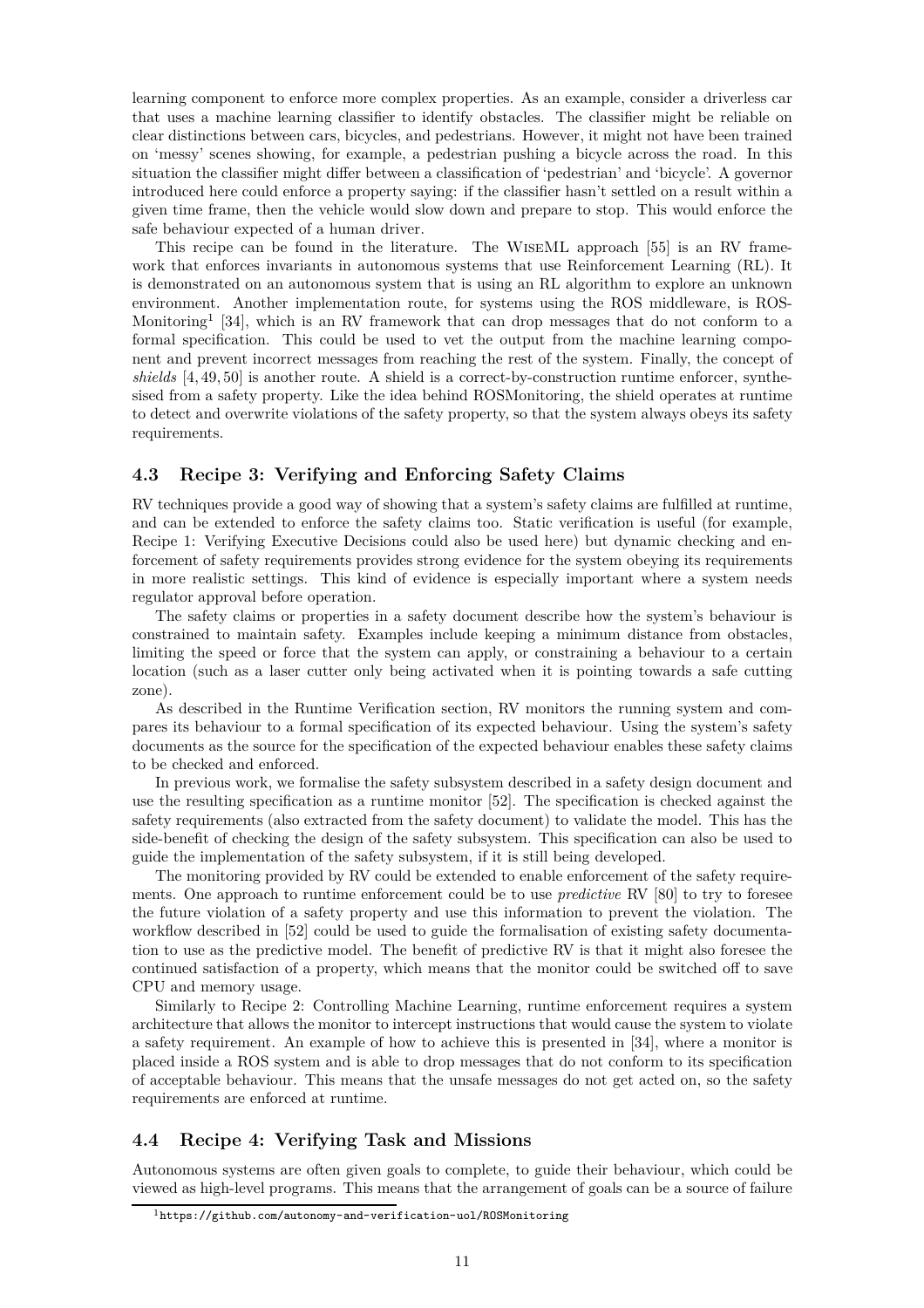learning component to enforce more complex properties. As an example, consider a driverless car that uses a machine learning classifier to identify obstacles. The classifier might be reliable on clear distinctions between cars, bicycles, and pedestrians. However, it might not have been trained on 'messy' scenes showing, for example, a pedestrian pushing a bicycle across the road. In this situation the classifier might differ between a classification of 'pedestrian' and 'bicycle'. A governor introduced here could enforce a property saying: if the classifier hasn't settled on a result within a given time frame, then the vehicle would slow down and prepare to stop. This would enforce the safe behaviour expected of a human driver.

This recipe can be found in the literature. The WiseML approach [\[55\]](#page-16-9) is an RV framework that enforces invariants in autonomous systems that use Reinforcement Learning (RL). It is demonstrated on an autonomous system that is using an RL algorithm to explore an unknown environment. Another implementation route, for systems using the ROS middleware, is ROS-Monitoring<sup>[1](#page-10-2)</sup> [\[34\]](#page-15-13), which is an RV framework that can drop messages that do not conform to a formal specification. This could be used to vet the output from the machine learning component and prevent incorrect messages from reaching the rest of the system. Finally, the concept of *shields* [\[4,](#page-13-9) [49,](#page-16-10) [50\]](#page-16-11) is another route. A shield is a correct-by-construction runtime enforcer, synthesised from a safety property. Like the idea behind ROSMonitoring, the shield operates at runtime to detect and overwrite violations of the safety property, so that the system always obeys its safety requirements.

#### <span id="page-10-0"></span>**4.3 Recipe 3: Verifying and Enforcing Safety Claims**

RV techniques provide a good way of showing that a system's safety claims are fulfilled at runtime, and can be extended to enforce the safety claims too. Static verification is useful (for example, [Recipe 1: Verifying Executive Decisions](#page-8-0) could also be used here) but dynamic checking and enforcement of safety requirements provides strong evidence for the system obeying its requirements in more realistic settings. This kind of evidence is especially important where a system needs regulator approval before operation.

The safety claims or properties in a safety document describe how the system's behaviour is constrained to maintain safety. Examples include keeping a minimum distance from obstacles, limiting the speed or force that the system can apply, or constraining a behaviour to a certain location (such as a laser cutter only being activated when it is pointing towards a safe cutting zone).

As described in the [Runtime Verification](#page-6-2) section, RV monitors the running system and compares its behaviour to a formal specification of its expected behaviour. Using the system's safety documents as the source for the specification of the expected behaviour enables these safety claims to be checked and enforced.

In previous work, we formalise the safety subsystem described in a safety design document and use the resulting specification as a runtime monitor [\[52\]](#page-16-12). The specification is checked against the safety requirements (also extracted from the safety document) to validate the model. This has the side-benefit of checking the design of the safety subsystem. This specification can also be used to guide the implementation of the safety subsystem, if it is still being developed.

The monitoring provided by RV could be extended to enable enforcement of the safety requirements. One approach to runtime enforcement could be to use *predictive* RV [\[80\]](#page-18-3) to try to foresee the future violation of a safety property and use this information to prevent the violation. The workflow described in [\[52\]](#page-16-12) could be used to guide the formalisation of existing safety documentation to use as the predictive model. The benefit of predictive RV is that it might also foresee the continued satisfaction of a property, which means that the monitor could be switched off to save CPU and memory usage.

Similarly to [Recipe 2: Controlling Machine Learning,](#page-9-0) runtime enforcement requires a system architecture that allows the monitor to intercept instructions that would cause the system to violate a safety requirement. An example of how to achieve this is presented in [\[34\]](#page-15-13), where a monitor is placed inside a ROS system and is able to drop messages that do not conform to its specification of acceptable behaviour. This means that the unsafe messages do not get acted on, so the safety requirements are enforced at runtime.

### <span id="page-10-1"></span>**4.4 Recipe 4: Verifying Task and Missions**

Autonomous systems are often given goals to complete, to guide their behaviour, which could be viewed as high-level programs. This means that the arrangement of goals can be a source of failure

<span id="page-10-2"></span> $1$ <https://github.com/autonomy-and-verification-uol/ROSMonitoring>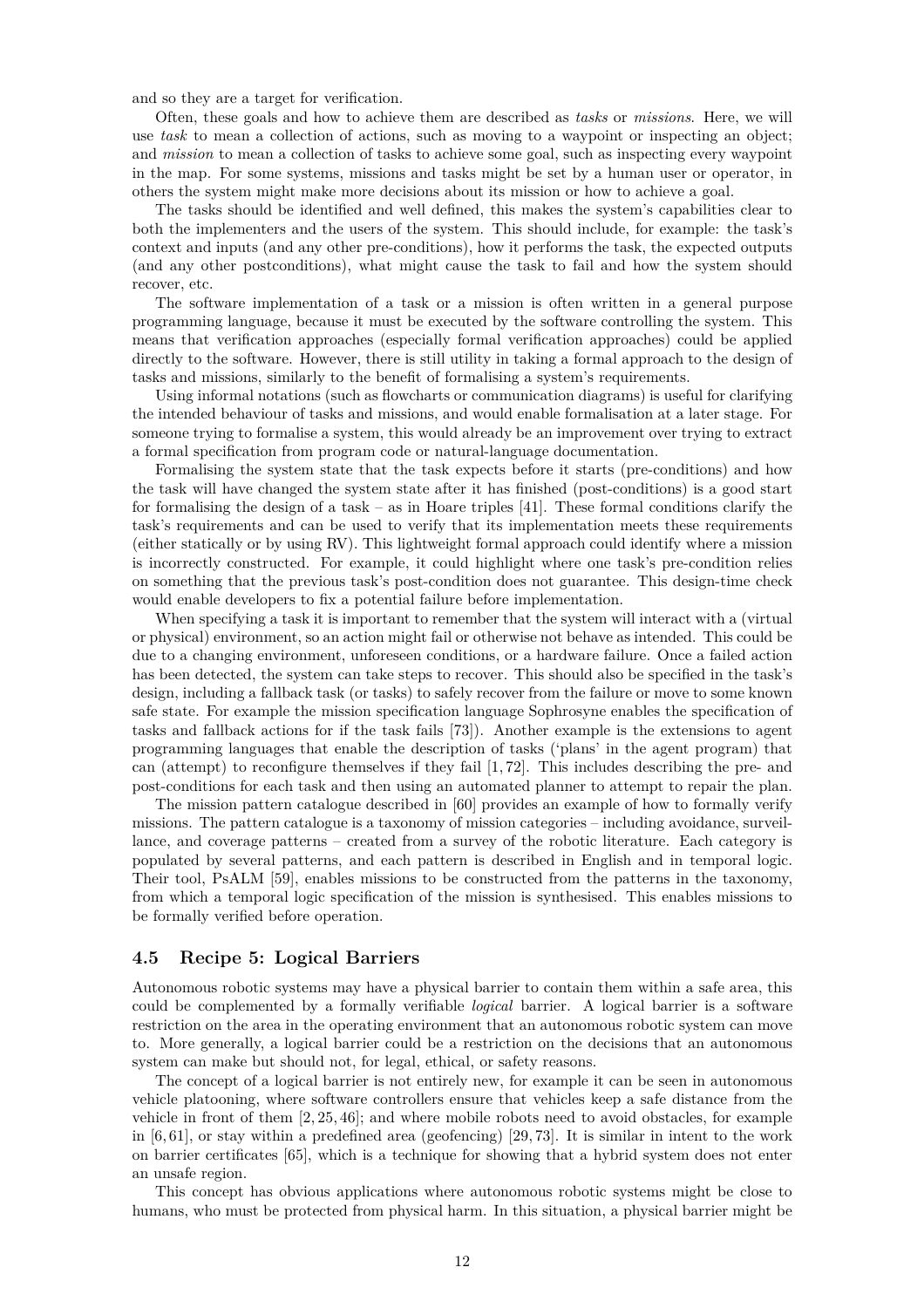and so they are a target for verification.

Often, these goals and how to achieve them are described as *tasks* or *missions*. Here, we will use *task* to mean a collection of actions, such as moving to a waypoint or inspecting an object; and *mission* to mean a collection of tasks to achieve some goal, such as inspecting every waypoint in the map. For some systems, missions and tasks might be set by a human user or operator, in others the system might make more decisions about its mission or how to achieve a goal.

The tasks should be identified and well defined, this makes the system's capabilities clear to both the implementers and the users of the system. This should include, for example: the task's context and inputs (and any other pre-conditions), how it performs the task, the expected outputs (and any other postconditions), what might cause the task to fail and how the system should recover, etc.

The software implementation of a task or a mission is often written in a general purpose programming language, because it must be executed by the software controlling the system. This means that verification approaches (especially formal verification approaches) could be applied directly to the software. However, there is still utility in taking a formal approach to the design of tasks and missions, similarly to the benefit of formalising a system's requirements.

Using informal notations (such as flowcharts or communication diagrams) is useful for clarifying the intended behaviour of tasks and missions, and would enable formalisation at a later stage. For someone trying to formalise a system, this would already be an improvement over trying to extract a formal specification from program code or natural-language documentation.

Formalising the system state that the task expects before it starts (pre-conditions) and how the task will have changed the system state after it has finished (post-conditions) is a good start for formalising the design of a task – as in Hoare triples [\[41\]](#page-15-14). These formal conditions clarify the task's requirements and can be used to verify that its implementation meets these requirements (either statically or by using RV). This lightweight formal approach could identify where a mission is incorrectly constructed. For example, it could highlight where one task's pre-condition relies on something that the previous task's post-condition does not guarantee. This design-time check would enable developers to fix a potential failure before implementation.

When specifying a task it is important to remember that the system will interact with a (virtual or physical) environment, so an action might fail or otherwise not behave as intended. This could be due to a changing environment, unforeseen conditions, or a hardware failure. Once a failed action has been detected, the system can take steps to recover. This should also be specified in the task's design, including a fallback task (or tasks) to safely recover from the failure or move to some known safe state. For example the mission specification language Sophrosyne enables the specification of tasks and fallback actions for if the task fails [\[73\]](#page-17-13)). Another example is the extensions to agent programming languages that enable the description of tasks ('plans' in the agent program) that can (attempt) to reconfigure themselves if they fail [\[1,](#page-13-10) [72\]](#page-17-14). This includes describing the pre- and post-conditions for each task and then using an automated planner to attempt to repair the plan.

The mission pattern catalogue described in [\[60\]](#page-16-13) provides an example of how to formally verify missions. The pattern catalogue is a taxonomy of mission categories – including avoidance, surveillance, and coverage patterns – created from a survey of the robotic literature. Each category is populated by several patterns, and each pattern is described in English and in temporal logic. Their tool, PsALM [\[59\]](#page-16-14), enables missions to be constructed from the patterns in the taxonomy, from which a temporal logic specification of the mission is synthesised. This enables missions to be formally verified before operation.

#### <span id="page-11-0"></span>**4.5 Recipe 5: Logical Barriers**

Autonomous robotic systems may have a physical barrier to contain them within a safe area, this could be complemented by a formally verifiable *logical* barrier. A logical barrier is a software restriction on the area in the operating environment that an autonomous robotic system can move to. More generally, a logical barrier could be a restriction on the decisions that an autonomous system can make but should not, for legal, ethical, or safety reasons.

The concept of a logical barrier is not entirely new, for example it can be seen in autonomous vehicle platooning, where software controllers ensure that vehicles keep a safe distance from the vehicle in front of them [\[2,](#page-13-11) [25,](#page-14-15) [46\]](#page-16-15); and where mobile robots need to avoid obstacles, for example in  $[6, 61]$  $[6, 61]$ , or stay within a predefined area (geofencing)  $[29, 73]$  $[29, 73]$ . It is similar in intent to the work on barrier certificates [\[65\]](#page-17-15), which is a technique for showing that a hybrid system does not enter an unsafe region.

This concept has obvious applications where autonomous robotic systems might be close to humans, who must be protected from physical harm. In this situation, a physical barrier might be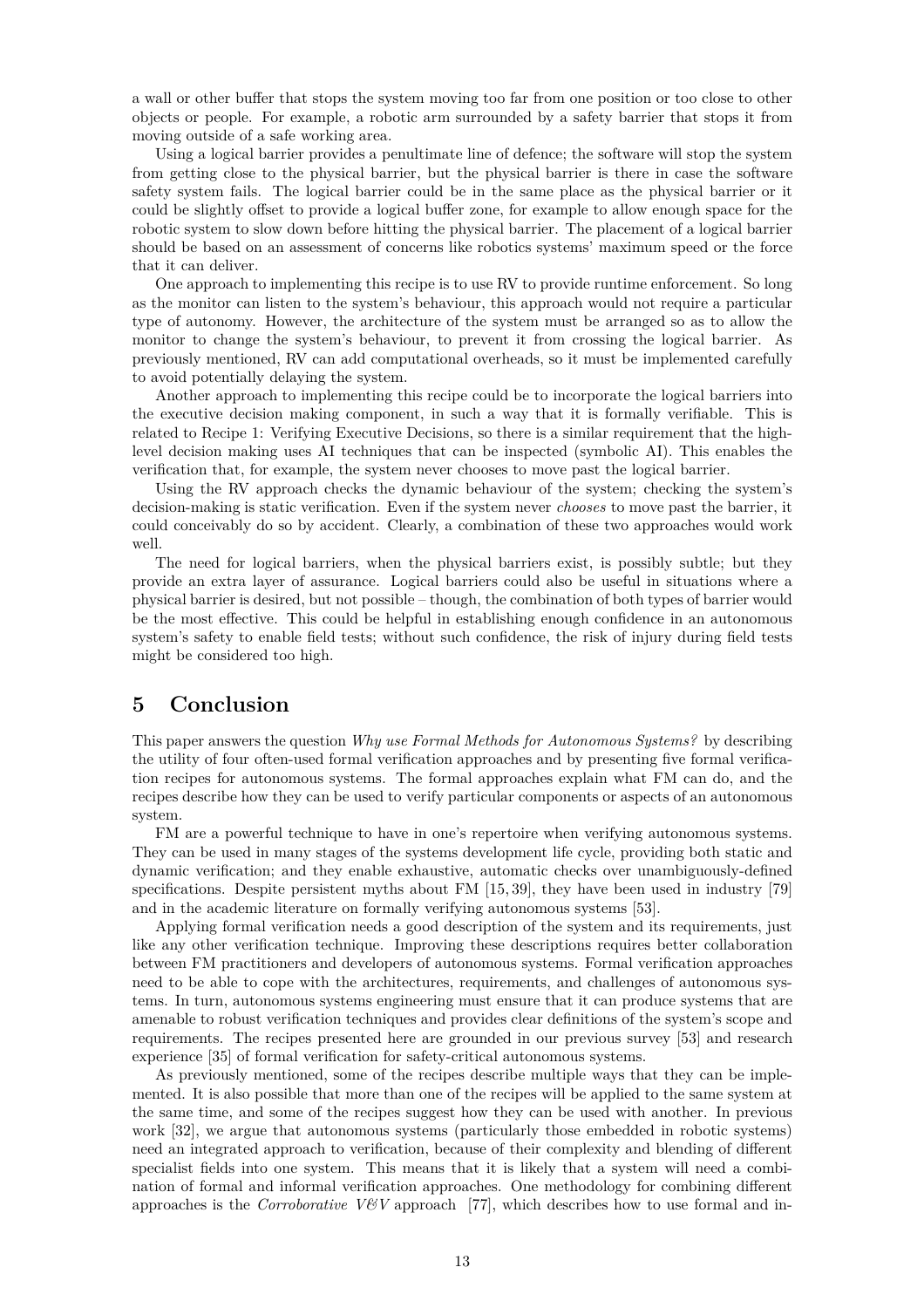a wall or other buffer that stops the system moving too far from one position or too close to other objects or people. For example, a robotic arm surrounded by a safety barrier that stops it from moving outside of a safe working area.

Using a logical barrier provides a penultimate line of defence; the software will stop the system from getting close to the physical barrier, but the physical barrier is there in case the software safety system fails. The logical barrier could be in the same place as the physical barrier or it could be slightly offset to provide a logical buffer zone, for example to allow enough space for the robotic system to slow down before hitting the physical barrier. The placement of a logical barrier should be based on an assessment of concerns like robotics systems' maximum speed or the force that it can deliver.

One approach to implementing this recipe is to use RV to provide runtime enforcement. So long as the monitor can listen to the system's behaviour, this approach would not require a particular type of autonomy. However, the architecture of the system must be arranged so as to allow the monitor to change the system's behaviour, to prevent it from crossing the logical barrier. As previously mentioned, RV can add computational overheads, so it must be implemented carefully to avoid potentially delaying the system.

Another approach to implementing this recipe could be to incorporate the logical barriers into the executive decision making component, in such a way that it is formally verifiable. This is related to [Recipe 1: Verifying Executive Decisions,](#page-8-0) so there is a similar requirement that the highlevel decision making uses AI techniques that can be inspected (symbolic AI). This enables the verification that, for example, the system never chooses to move past the logical barrier.

Using the RV approach checks the dynamic behaviour of the system; checking the system's decision-making is static verification. Even if the system never *chooses* to move past the barrier, it could conceivably do so by accident. Clearly, a combination of these two approaches would work well.

The need for logical barriers, when the physical barriers exist, is possibly subtle; but they provide an extra layer of assurance. Logical barriers could also be useful in situations where a physical barrier is desired, but not possible – though, the combination of both types of barrier would be the most effective. This could be helpful in establishing enough confidence in an autonomous system's safety to enable field tests; without such confidence, the risk of injury during field tests might be considered too high.

## <span id="page-12-0"></span>**5 Conclusion**

This paper answers the question *Why use Formal Methods for Autonomous Systems?* by describing the utility of four often-used formal verification approaches and by presenting five formal verification recipes for autonomous systems. The formal approaches explain what FM can do, and the recipes describe how they can be used to verify particular components or aspects of an autonomous system.

FM are a powerful technique to have in one's repertoire when verifying autonomous systems. They can be used in many stages of the systems development life cycle, providing both static and dynamic verification; and they enable exhaustive, automatic checks over unambiguously-defined specifications. Despite persistent myths about FM [\[15,](#page-14-0)39], they have been used in industry [\[79\]](#page-18-0) and in the academic literature on formally verifying autonomous systems [\[53\]](#page-16-0).

Applying formal verification needs a good description of the system and its requirements, just like any other verification technique. Improving these descriptions requires better collaboration between FM practitioners and developers of autonomous systems. Formal verification approaches need to be able to cope with the architectures, requirements, and challenges of autonomous systems. In turn, autonomous systems engineering must ensure that it can produce systems that are amenable to robust verification techniques and provides clear definitions of the system's scope and requirements. The recipes presented here are grounded in our previous survey [\[53\]](#page-16-0) and research experience [\[35\]](#page-15-1) of formal verification for safety-critical autonomous systems.

As previously mentioned, some of the recipes describe multiple ways that they can be implemented. It is also possible that more than one of the recipes will be applied to the same system at the same time, and some of the recipes suggest how they can be used with another. In previous work [\[32\]](#page-15-3), we argue that autonomous systems (particularly those embedded in robotic systems) need an integrated approach to verification, because of their complexity and blending of different specialist fields into one system. This means that it is likely that a system will need a combination of formal and informal verification approaches. One methodology for combining different approaches is the *Corroborative V&V* approach [\[77\]](#page-18-2), which describes how to use formal and in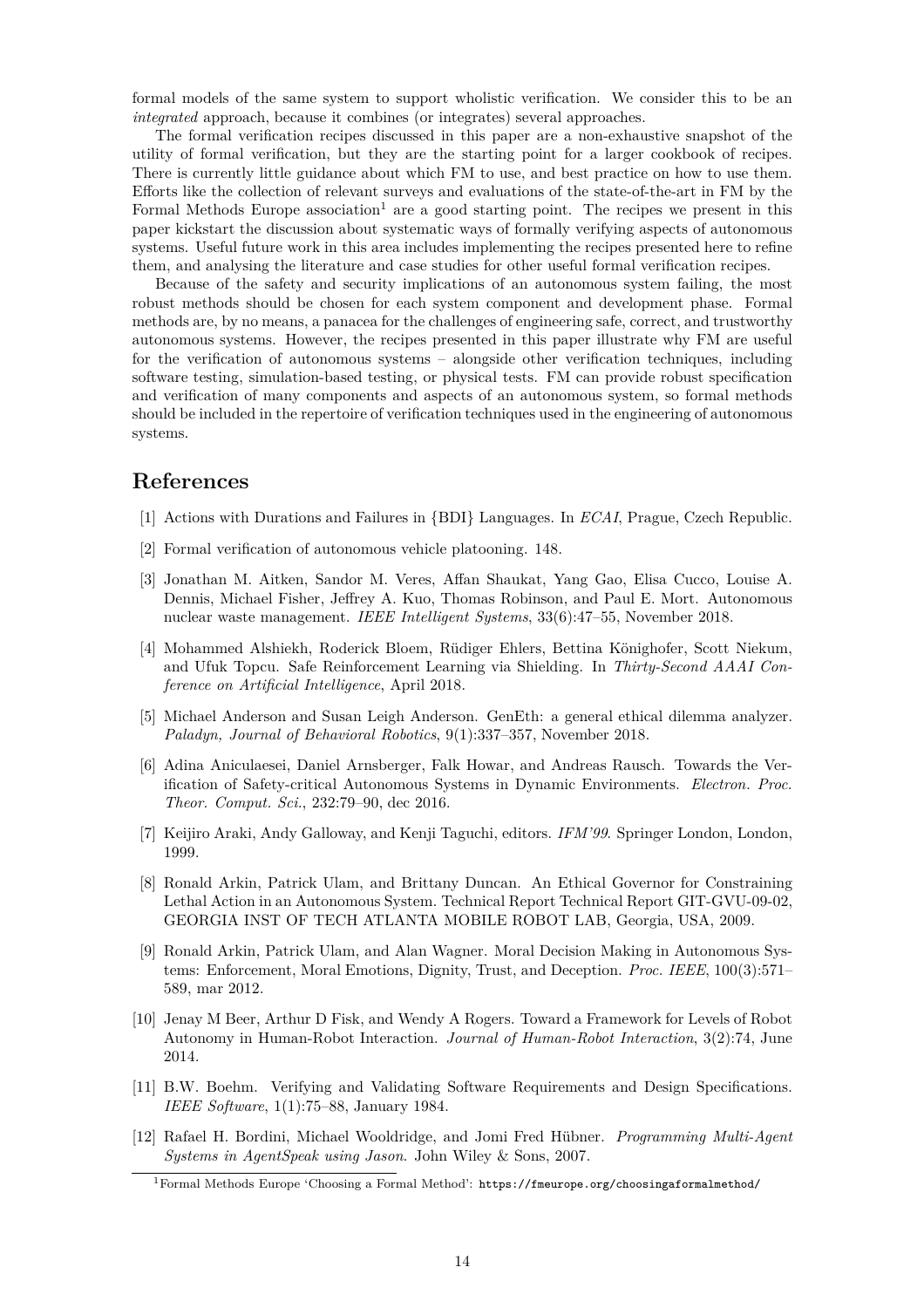formal models of the same system to support wholistic verification. We consider this to be an *integrated* approach, because it combines (or integrates) several approaches.

The formal verification recipes discussed in this paper are a non-exhaustive snapshot of the utility of formal verification, but they are the starting point for a larger cookbook of recipes. There is currently little guidance about which FM to use, and best practice on how to use them. Efforts like the collection of relevant surveys and evaluations of the state-of-the-art in FM by the Formal Methods Europe association<sup>[1](#page-13-12)</sup> are a good starting point. The recipes we present in this paper kickstart the discussion about systematic ways of formally verifying aspects of autonomous systems. Useful future work in this area includes implementing the recipes presented here to refine them, and analysing the literature and case studies for other useful formal verification recipes.

Because of the safety and security implications of an autonomous system failing, the most robust methods should be chosen for each system component and development phase. Formal methods are, by no means, a panacea for the challenges of engineering safe, correct, and trustworthy autonomous systems. However, the recipes presented in this paper illustrate why FM are useful for the verification of autonomous systems – alongside other verification techniques, including software testing, simulation-based testing, or physical tests. FM can provide robust specification and verification of many components and aspects of an autonomous system, so formal methods should be included in the repertoire of verification techniques used in the engineering of autonomous systems.

## <span id="page-13-10"></span>**References**

- <span id="page-13-11"></span>[1] Actions with Durations and Failures in {BDI} Languages. In *ECAI*, Prague, Czech Republic.
- <span id="page-13-2"></span>[2] Formal verification of autonomous vehicle platooning. 148.
- [3] Jonathan M. Aitken, Sandor M. Veres, Affan Shaukat, Yang Gao, Elisa Cucco, Louise A. Dennis, Michael Fisher, Jeffrey A. Kuo, Thomas Robinson, and Paul E. Mort. Autonomous nuclear waste management. *IEEE Intelligent Systems*, 33(6):47–55, November 2018.
- <span id="page-13-9"></span>[4] Mohammed Alshiekh, Roderick Bloem, Rüdiger Ehlers, Bettina Könighofer, Scott Niekum, and Ufuk Topcu. Safe Reinforcement Learning via Shielding. In *Thirty-Second AAAI Conference on Artificial Intelligence*, April 2018.
- <span id="page-13-3"></span>[5] Michael Anderson and Susan Leigh Anderson. GenEth: a general ethical dilemma analyzer. *Paladyn, Journal of Behavioral Robotics*, 9(1):337–357, November 2018.
- <span id="page-13-6"></span>[6] Adina Aniculaesei, Daniel Arnsberger, Falk Howar, and Andreas Rausch. Towards the Verification of Safety-critical Autonomous Systems in Dynamic Environments. *Electron. Proc. Theor. Comput. Sci.*, 232:79–90, dec 2016.
- <span id="page-13-7"></span><span id="page-13-5"></span>[7] Keijiro Araki, Andy Galloway, and Kenji Taguchi, editors. *IFM'99*. Springer London, London, 1999.
- [8] Ronald Arkin, Patrick Ulam, and Brittany Duncan. An Ethical Governor for Constraining Lethal Action in an Autonomous System. Technical Report Technical Report GIT-GVU-09-02, GEORGIA INST OF TECH ATLANTA MOBILE ROBOT LAB, Georgia, USA, 2009.
- <span id="page-13-8"></span>[9] Ronald Arkin, Patrick Ulam, and Alan Wagner. Moral Decision Making in Autonomous Systems: Enforcement, Moral Emotions, Dignity, Trust, and Deception. *Proc. IEEE*, 100(3):571– 589, mar 2012.
- <span id="page-13-4"></span>[10] Jenay M Beer, Arthur D Fisk, and Wendy A Rogers. Toward a Framework for Levels of Robot Autonomy in Human-Robot Interaction. *Journal of Human-Robot Interaction*, 3(2):74, June 2014.
- <span id="page-13-0"></span>[11] B.W. Boehm. Verifying and Validating Software Requirements and Design Specifications. *IEEE Software*, 1(1):75–88, January 1984.
- <span id="page-13-1"></span>[12] Rafael H. Bordini, Michael Wooldridge, and Jomi Fred Hübner. *Programming Multi-Agent Systems in AgentSpeak using Jason*. John Wiley & Sons, 2007.

<span id="page-13-12"></span><sup>1</sup>Formal Methods Europe 'Choosing a Formal Method': <https://fmeurope.org/choosingaformalmethod/>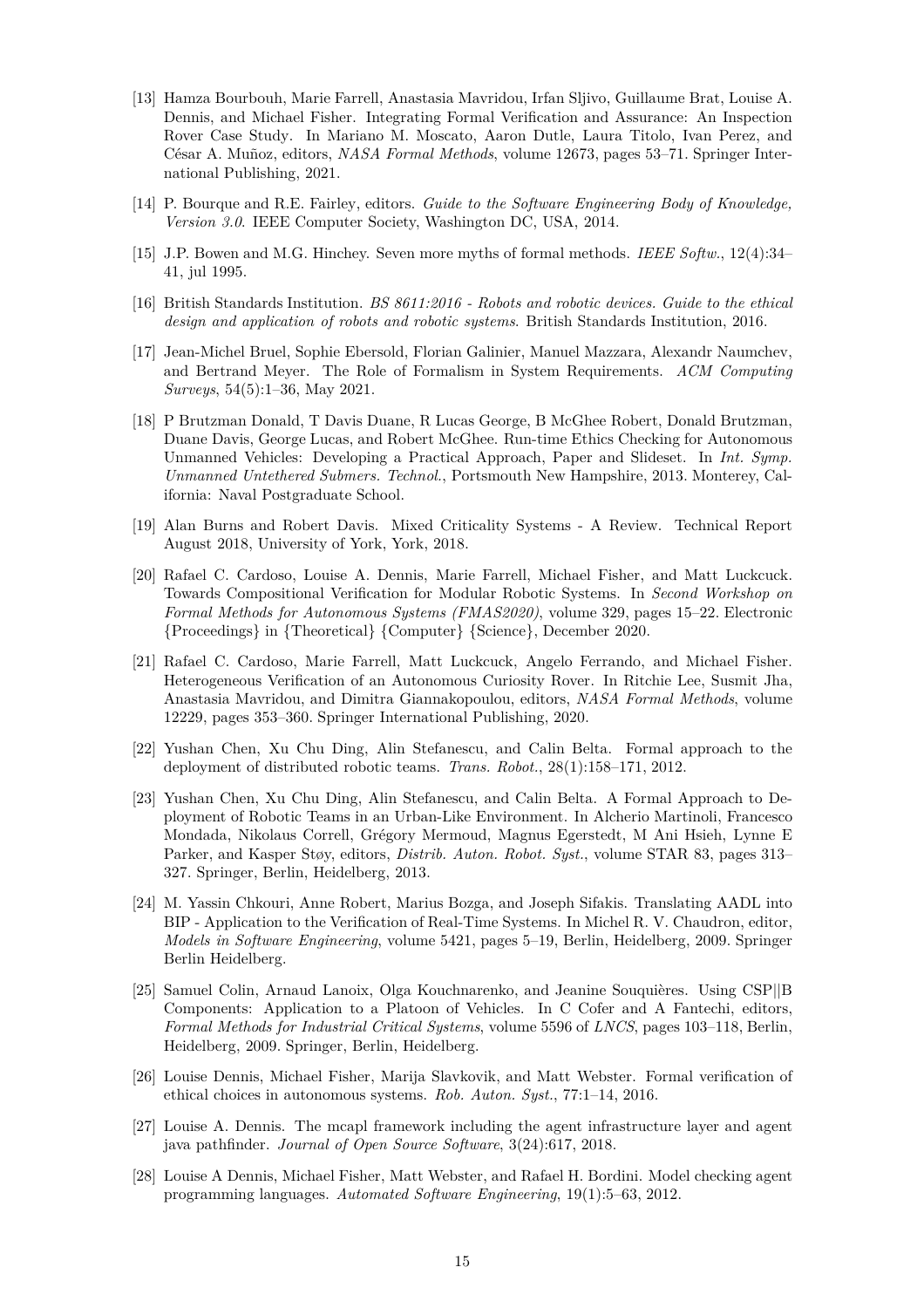- <span id="page-14-4"></span>[13] Hamza Bourbouh, Marie Farrell, Anastasia Mavridou, Irfan Sljivo, Guillaume Brat, Louise A. Dennis, and Michael Fisher. Integrating Formal Verification and Assurance: An Inspection Rover Case Study. In Mariano M. Moscato, Aaron Dutle, Laura Titolo, Ivan Perez, and César A. Muñoz, editors, *NASA Formal Methods*, volume 12673, pages 53–71. Springer International Publishing, 2021.
- <span id="page-14-1"></span><span id="page-14-0"></span>[14] P. Bourque and R.E. Fairley, editors. *Guide to the Software Engineering Body of Knowledge, Version 3.0*. IEEE Computer Society, Washington DC, USA, 2014.
- [15] J.P. Bowen and M.G. Hinchey. Seven more myths of formal methods. *IEEE Softw.*, 12(4):34– 41, jul 1995.
- <span id="page-14-2"></span>[16] British Standards Institution. *BS 8611:2016 - Robots and robotic devices. Guide to the ethical design and application of robots and robotic systems*. British Standards Institution, 2016.
- <span id="page-14-3"></span>[17] Jean-Michel Bruel, Sophie Ebersold, Florian Galinier, Manuel Mazzara, Alexandr Naumchev, and Bertrand Meyer. The Role of Formalism in System Requirements. *ACM Computing Surveys*, 54(5):1–36, May 2021.
- <span id="page-14-13"></span>[18] P Brutzman Donald, T Davis Duane, R Lucas George, B McGhee Robert, Donald Brutzman, Duane Davis, George Lucas, and Robert McGhee. Run-time Ethics Checking for Autonomous Unmanned Vehicles: Developing a Practical Approach, Paper and Slideset. In *Int. Symp. Unmanned Untethered Submers. Technol.*, Portsmouth New Hampshire, 2013. Monterey, California: Naval Postgraduate School.
- <span id="page-14-7"></span>[19] Alan Burns and Robert Davis. Mixed Criticality Systems - A Review. Technical Report August 2018, University of York, York, 2018.
- <span id="page-14-11"></span>[20] Rafael C. Cardoso, Louise A. Dennis, Marie Farrell, Michael Fisher, and Matt Luckcuck. Towards Compositional Verification for Modular Robotic Systems. In *Second Workshop on Formal Methods for Autonomous Systems (FMAS2020)*, volume 329, pages 15–22. Electronic {Proceedings} in {Theoretical} {Computer} {Science}, December 2020.
- <span id="page-14-12"></span>[21] Rafael C. Cardoso, Marie Farrell, Matt Luckcuck, Angelo Ferrando, and Michael Fisher. Heterogeneous Verification of an Autonomous Curiosity Rover. In Ritchie Lee, Susmit Jha, Anastasia Mavridou, and Dimitra Giannakopoulou, editors, *NASA Formal Methods*, volume 12229, pages 353–360. Springer International Publishing, 2020.
- <span id="page-14-9"></span>[22] Yushan Chen, Xu Chu Ding, Alin Stefanescu, and Calin Belta. Formal approach to the deployment of distributed robotic teams. *Trans. Robot.*, 28(1):158–171, 2012.
- <span id="page-14-10"></span>[23] Yushan Chen, Xu Chu Ding, Alin Stefanescu, and Calin Belta. A Formal Approach to Deployment of Robotic Teams in an Urban-Like Environment. In Alcherio Martinoli, Francesco Mondada, Nikolaus Correll, Grégory Mermoud, Magnus Egerstedt, M Ani Hsieh, Lynne E Parker, and Kasper Støy, editors, *Distrib. Auton. Robot. Syst.*, volume STAR 83, pages 313– 327. Springer, Berlin, Heidelberg, 2013.
- <span id="page-14-5"></span>[24] M. Yassin Chkouri, Anne Robert, Marius Bozga, and Joseph Sifakis. Translating AADL into BIP - Application to the Verification of Real-Time Systems. In Michel R. V. Chaudron, editor, *Models in Software Engineering*, volume 5421, pages 5–19, Berlin, Heidelberg, 2009. Springer Berlin Heidelberg.
- <span id="page-14-15"></span>[25] Samuel Colin, Arnaud Lanoix, Olga Kouchnarenko, and Jeanine Souquières. Using CSP||B Components: Application to a Platoon of Vehicles. In C Cofer and A Fantechi, editors, *Formal Methods for Industrial Critical Systems*, volume 5596 of *LNCS*, pages 103–118, Berlin, Heidelberg, 2009. Springer, Berlin, Heidelberg.
- <span id="page-14-14"></span>[26] Louise Dennis, Michael Fisher, Marija Slavkovik, and Matt Webster. Formal verification of ethical choices in autonomous systems. *Rob. Auton. Syst.*, 77:1–14, 2016.
- <span id="page-14-6"></span>[27] Louise A. Dennis. The mcapl framework including the agent infrastructure layer and agent java pathfinder. *Journal of Open Source Software*, 3(24):617, 2018.
- <span id="page-14-8"></span>[28] Louise A Dennis, Michael Fisher, Matt Webster, and Rafael H. Bordini. Model checking agent programming languages. *Automated Software Engineering*, 19(1):5–63, 2012.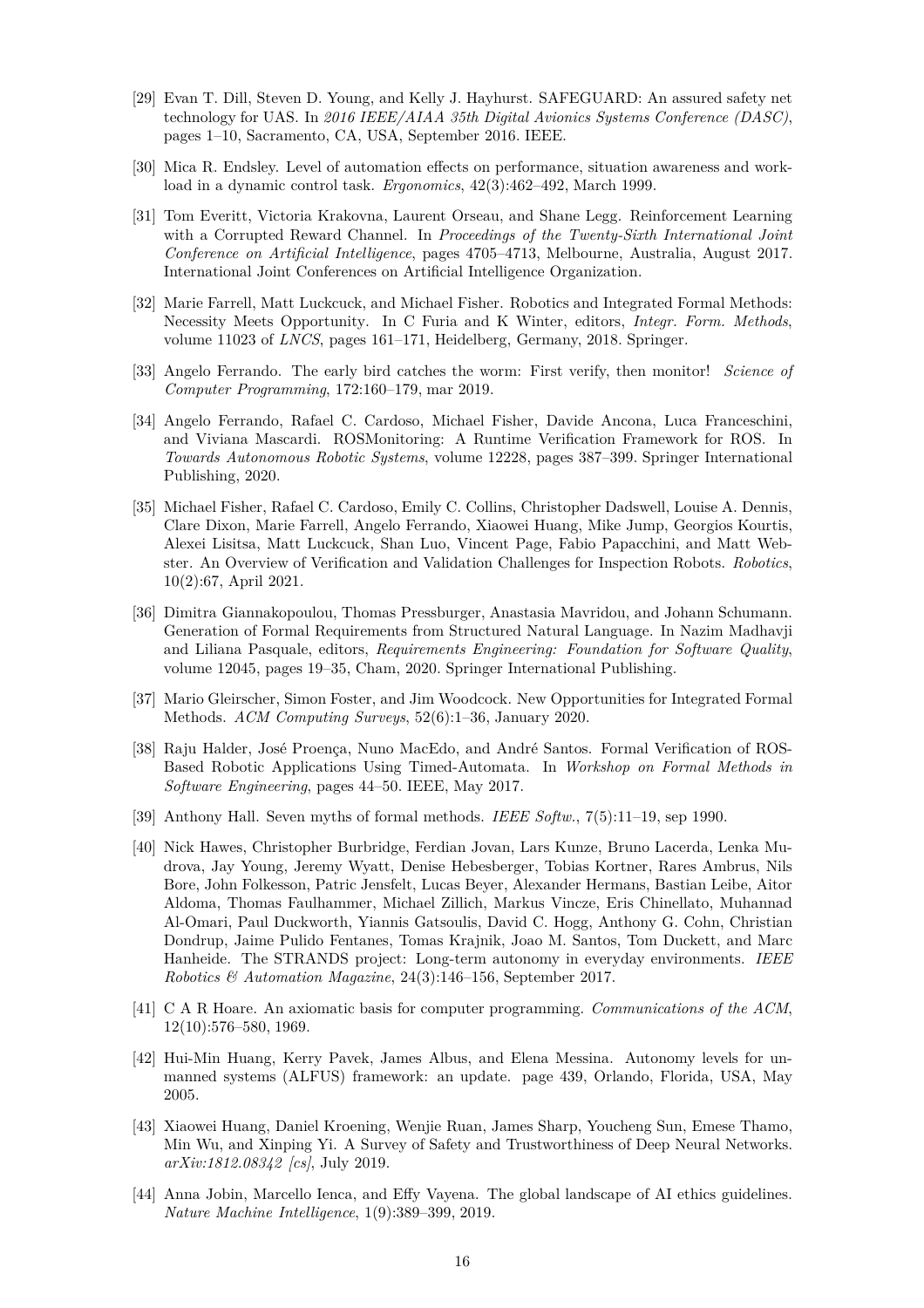- <span id="page-15-15"></span>[29] Evan T. Dill, Steven D. Young, and Kelly J. Hayhurst. SAFEGUARD: An assured safety net technology for UAS. In *2016 IEEE/AIAA 35th Digital Avionics Systems Conference (DASC)*, pages 1–10, Sacramento, CA, USA, September 2016. IEEE.
- <span id="page-15-12"></span><span id="page-15-4"></span>[30] Mica R. Endsley. Level of automation effects on performance, situation awareness and workload in a dynamic control task. *Ergonomics*, 42(3):462–492, March 1999.
- [31] Tom Everitt, Victoria Krakovna, Laurent Orseau, and Shane Legg. Reinforcement Learning with a Corrupted Reward Channel. In *Proceedings of the Twenty-Sixth International Joint Conference on Artificial Intelligence*, pages 4705–4713, Melbourne, Australia, August 2017. International Joint Conferences on Artificial Intelligence Organization.
- <span id="page-15-3"></span>[32] Marie Farrell, Matt Luckcuck, and Michael Fisher. Robotics and Integrated Formal Methods: Necessity Meets Opportunity. In C Furia and K Winter, editors, *Integr. Form. Methods*, volume 11023 of *LNCS*, pages 161–171, Heidelberg, Germany, 2018. Springer.
- <span id="page-15-9"></span>[33] Angelo Ferrando. The early bird catches the worm: First verify, then monitor! *Science of Computer Programming*, 172:160–179, mar 2019.
- <span id="page-15-13"></span>[34] Angelo Ferrando, Rafael C. Cardoso, Michael Fisher, Davide Ancona, Luca Franceschini, and Viviana Mascardi. ROSMonitoring: A Runtime Verification Framework for ROS. In *Towards Autonomous Robotic Systems*, volume 12228, pages 387–399. Springer International Publishing, 2020.
- <span id="page-15-1"></span>[35] Michael Fisher, Rafael C. Cardoso, Emily C. Collins, Christopher Dadswell, Louise A. Dennis, Clare Dixon, Marie Farrell, Angelo Ferrando, Xiaowei Huang, Mike Jump, Georgios Kourtis, Alexei Lisitsa, Matt Luckcuck, Shan Luo, Vincent Page, Fabio Papacchini, and Matt Webster. An Overview of Verification and Validation Challenges for Inspection Robots. *Robotics*, 10(2):67, April 2021.
- <span id="page-15-7"></span>[36] Dimitra Giannakopoulou, Thomas Pressburger, Anastasia Mavridou, and Johann Schumann. Generation of Formal Requirements from Structured Natural Language. In Nazim Madhavji and Liliana Pasquale, editors, *Requirements Engineering: Foundation for Software Quality*, volume 12045, pages 19–35, Cham, 2020. Springer International Publishing.
- <span id="page-15-8"></span>[37] Mario Gleirscher, Simon Foster, and Jim Woodcock. New Opportunities for Integrated Formal Methods. *ACM Computing Surveys*, 52(6):1–36, January 2020.
- <span id="page-15-11"></span>[38] Raju Halder, José Proença, Nuno MacEdo, and André Santos. Formal Verification of ROS-Based Robotic Applications Using Timed-Automata. In *Workshop on Formal Methods in Software Engineering*, pages 44–50. IEEE, May 2017.
- <span id="page-15-10"></span><span id="page-15-0"></span>[39] Anthony Hall. Seven myths of formal methods. *IEEE Softw.*, 7(5):11–19, sep 1990.
- [40] Nick Hawes, Christopher Burbridge, Ferdian Jovan, Lars Kunze, Bruno Lacerda, Lenka Mudrova, Jay Young, Jeremy Wyatt, Denise Hebesberger, Tobias Kortner, Rares Ambrus, Nils Bore, John Folkesson, Patric Jensfelt, Lucas Beyer, Alexander Hermans, Bastian Leibe, Aitor Aldoma, Thomas Faulhammer, Michael Zillich, Markus Vincze, Eris Chinellato, Muhannad Al-Omari, Paul Duckworth, Yiannis Gatsoulis, David C. Hogg, Anthony G. Cohn, Christian Dondrup, Jaime Pulido Fentanes, Tomas Krajnik, Joao M. Santos, Tom Duckett, and Marc Hanheide. The STRANDS project: Long-term autonomy in everyday environments. *IEEE Robotics & Automation Magazine*, 24(3):146–156, September 2017.
- <span id="page-15-14"></span>[41] C A R Hoare. An axiomatic basis for computer programming. *Communications of the ACM*, 12(10):576–580, 1969.
- <span id="page-15-5"></span>[42] Hui-Min Huang, Kerry Pavek, James Albus, and Elena Messina. Autonomy levels for unmanned systems (ALFUS) framework: an update. page 439, Orlando, Florida, USA, May 2005.
- <span id="page-15-6"></span>[43] Xiaowei Huang, Daniel Kroening, Wenjie Ruan, James Sharp, Youcheng Sun, Emese Thamo, Min Wu, and Xinping Yi. A Survey of Safety and Trustworthiness of Deep Neural Networks. *arXiv:1812.08342 [cs]*, July 2019.
- <span id="page-15-2"></span>[44] Anna Jobin, Marcello Ienca, and Effy Vayena. The global landscape of AI ethics guidelines. *Nature Machine Intelligence*, 1(9):389–399, 2019.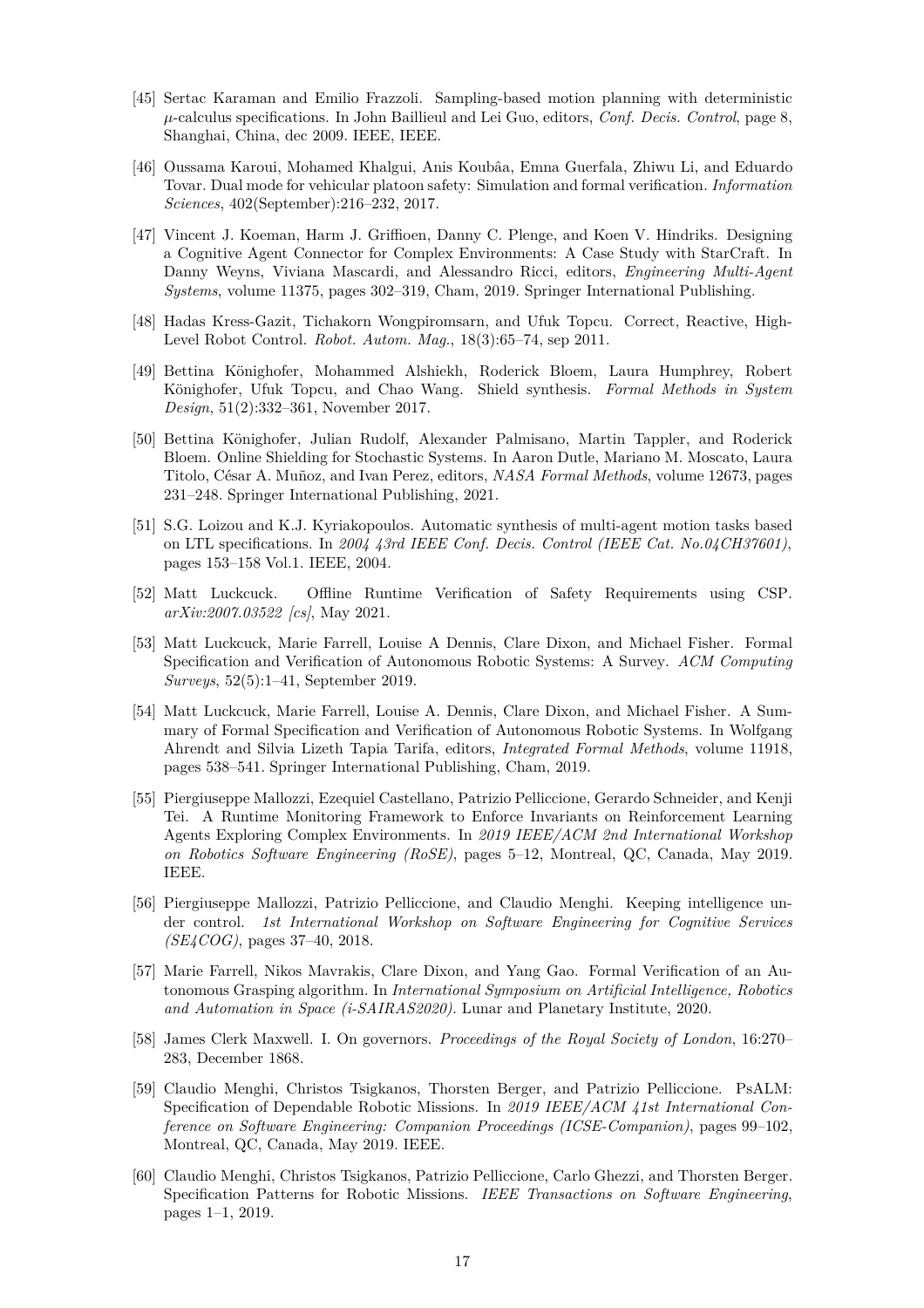- <span id="page-16-2"></span>[45] Sertac Karaman and Emilio Frazzoli. Sampling-based motion planning with deterministic *µ*-calculus specifications. In John Baillieul and Lei Guo, editors, *Conf. Decis. Control*, page 8, Shanghai, China, dec 2009. IEEE, IEEE.
- <span id="page-16-15"></span>[46] Oussama Karoui, Mohamed Khalgui, Anis Koubâa, Emna Guerfala, Zhiwu Li, and Eduardo Tovar. Dual mode for vehicular platoon safety: Simulation and formal verification. *Information Sciences*, 402(September):216–232, 2017.
- <span id="page-16-4"></span>[47] Vincent J. Koeman, Harm J. Griffioen, Danny C. Plenge, and Koen V. Hindriks. Designing a Cognitive Agent Connector for Complex Environments: A Case Study with StarCraft. In Danny Weyns, Viviana Mascardi, and Alessandro Ricci, editors, *Engineering Multi-Agent Systems*, volume 11375, pages 302–319, Cham, 2019. Springer International Publishing.
- <span id="page-16-3"></span>[48] Hadas Kress-Gazit, Tichakorn Wongpiromsarn, and Ufuk Topcu. Correct, Reactive, High-Level Robot Control. *Robot. Autom. Mag.*, 18(3):65–74, sep 2011.
- <span id="page-16-10"></span>[49] Bettina Könighofer, Mohammed Alshiekh, Roderick Bloem, Laura Humphrey, Robert Könighofer, Ufuk Topcu, and Chao Wang. Shield synthesis. *Formal Methods in System Design*, 51(2):332–361, November 2017.
- <span id="page-16-11"></span>[50] Bettina Könighofer, Julian Rudolf, Alexander Palmisano, Martin Tappler, and Roderick Bloem. Online Shielding for Stochastic Systems. In Aaron Dutle, Mariano M. Moscato, Laura Titolo, César A. Muñoz, and Ivan Perez, editors, *NASA Formal Methods*, volume 12673, pages 231–248. Springer International Publishing, 2021.
- <span id="page-16-6"></span>[51] S.G. Loizou and K.J. Kyriakopoulos. Automatic synthesis of multi-agent motion tasks based on LTL specifications. In *2004 43rd IEEE Conf. Decis. Control (IEEE Cat. No.04CH37601)*, pages 153–158 Vol.1. IEEE, 2004.
- <span id="page-16-12"></span>[52] Matt Luckcuck. Offline Runtime Verification of Safety Requirements using CSP. *arXiv:2007.03522 [cs]*, May 2021.
- <span id="page-16-0"></span>[53] Matt Luckcuck, Marie Farrell, Louise A Dennis, Clare Dixon, and Michael Fisher. Formal Specification and Verification of Autonomous Robotic Systems: A Survey. *ACM Computing Surveys*, 52(5):1–41, September 2019.
- <span id="page-16-1"></span>[54] Matt Luckcuck, Marie Farrell, Louise A. Dennis, Clare Dixon, and Michael Fisher. A Summary of Formal Specification and Verification of Autonomous Robotic Systems. In Wolfgang Ahrendt and Silvia Lizeth Tapia Tarifa, editors, *Integrated Formal Methods*, volume 11918, pages 538–541. Springer International Publishing, Cham, 2019.
- <span id="page-16-9"></span>[55] Piergiuseppe Mallozzi, Ezequiel Castellano, Patrizio Pelliccione, Gerardo Schneider, and Kenji Tei. A Runtime Monitoring Framework to Enforce Invariants on Reinforcement Learning Agents Exploring Complex Environments. In *2019 IEEE/ACM 2nd International Workshop on Robotics Software Engineering (RoSE)*, pages 5–12, Montreal, QC, Canada, May 2019. IEEE.
- <span id="page-16-8"></span>[56] Piergiuseppe Mallozzi, Patrizio Pelliccione, and Claudio Menghi. Keeping intelligence under control. *1st International Workshop on Software Engineering for Cognitive Services (SE4COG)*, pages 37–40, 2018.
- <span id="page-16-5"></span>[57] Marie Farrell, Nikos Mavrakis, Clare Dixon, and Yang Gao. Formal Verification of an Autonomous Grasping algorithm. In *International Symposium on Artificial Intelligence, Robotics and Automation in Space (i-SAIRAS2020)*. Lunar and Planetary Institute, 2020.
- <span id="page-16-7"></span>[58] James Clerk Maxwell. I. On governors. *Proceedings of the Royal Society of London*, 16:270– 283, December 1868.
- <span id="page-16-14"></span>[59] Claudio Menghi, Christos Tsigkanos, Thorsten Berger, and Patrizio Pelliccione. PsALM: Specification of Dependable Robotic Missions. In *2019 IEEE/ACM 41st International Conference on Software Engineering: Companion Proceedings (ICSE-Companion)*, pages 99–102, Montreal, QC, Canada, May 2019. IEEE.
- <span id="page-16-13"></span>[60] Claudio Menghi, Christos Tsigkanos, Patrizio Pelliccione, Carlo Ghezzi, and Thorsten Berger. Specification Patterns for Robotic Missions. *IEEE Transactions on Software Engineering*, pages 1–1, 2019.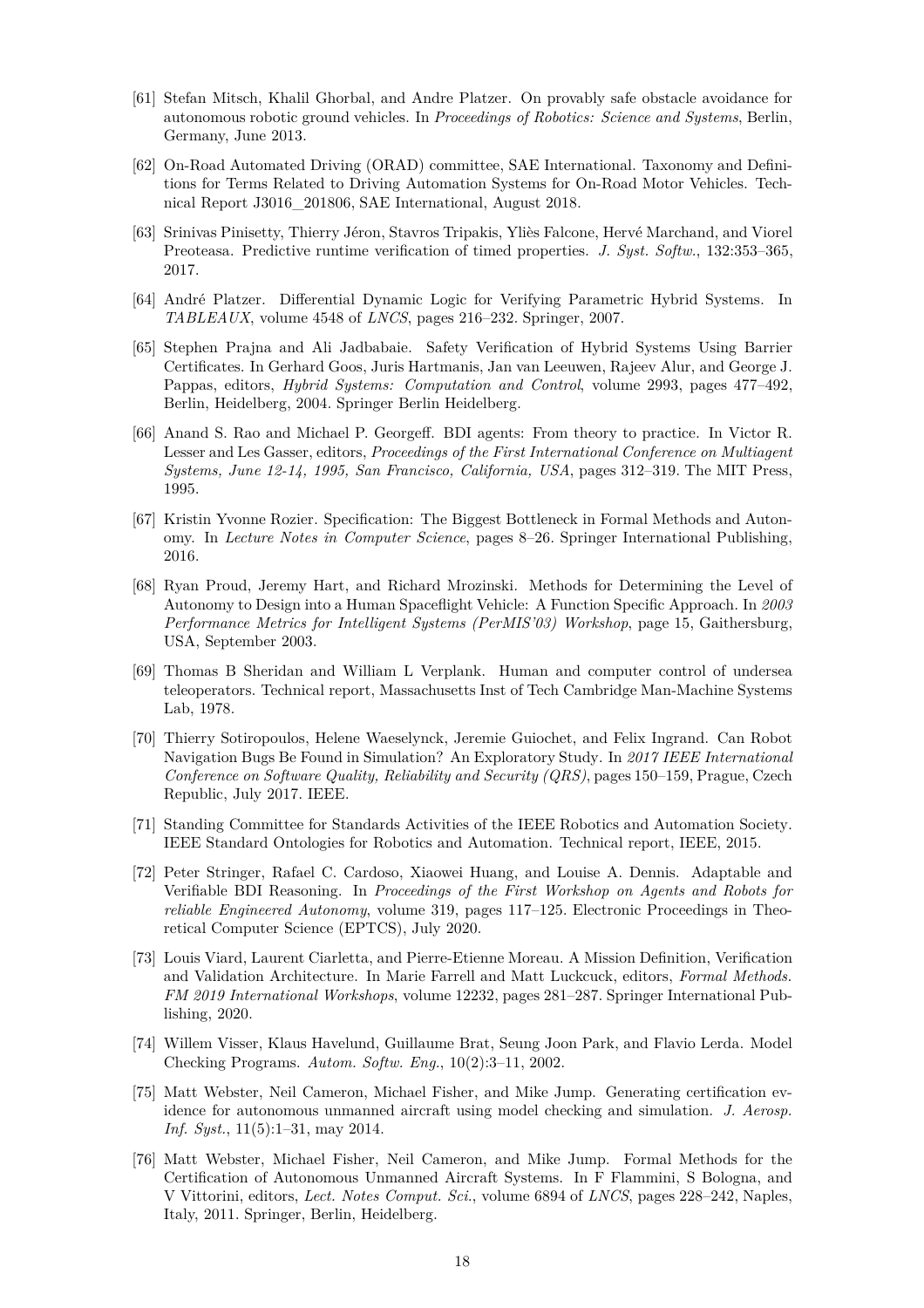- <span id="page-17-9"></span>[61] Stefan Mitsch, Khalil Ghorbal, and Andre Platzer. On provably safe obstacle avoidance for autonomous robotic ground vehicles. In *Proceedings of Robotics: Science and Systems*, Berlin, Germany, June 2013.
- <span id="page-17-3"></span>[62] On-Road Automated Driving (ORAD) committee, SAE International. Taxonomy and Definitions for Terms Related to Driving Automation Systems for On-Road Motor Vehicles. Technical Report J3016\_201806, SAE International, August 2018.
- <span id="page-17-11"></span>[63] Srinivas Pinisetty, Thierry Jéron, Stavros Tripakis, Yliès Falcone, Hervé Marchand, and Viorel Preoteasa. Predictive runtime verification of timed properties. *J. Syst. Softw.*, 132:353–365, 2017.
- <span id="page-17-15"></span><span id="page-17-10"></span>[64] André Platzer. Differential Dynamic Logic for Verifying Parametric Hybrid Systems. In *TABLEAUX*, volume 4548 of *LNCS*, pages 216–232. Springer, 2007.
- [65] Stephen Prajna and Ali Jadbabaie. Safety Verification of Hybrid Systems Using Barrier Certificates. In Gerhard Goos, Juris Hartmanis, Jan van Leeuwen, Rajeev Alur, and George J. Pappas, editors, *Hybrid Systems: Computation and Control*, volume 2993, pages 477–492, Berlin, Heidelberg, 2004. Springer Berlin Heidelberg.
- <span id="page-17-12"></span>[66] Anand S. Rao and Michael P. Georgeff. BDI agents: From theory to practice. In Victor R. Lesser and Les Gasser, editors, *Proceedings of the First International Conference on Multiagent Systems, June 12-14, 1995, San Francisco, California, USA*, pages 312–319. The MIT Press, 1995.
- <span id="page-17-8"></span>[67] Kristin Yvonne Rozier. Specification: The Biggest Bottleneck in Formal Methods and Autonomy. In *Lecture Notes in Computer Science*, pages 8–26. Springer International Publishing, 2016.
- <span id="page-17-2"></span>[68] Ryan Proud, Jeremy Hart, and Richard Mrozinski. Methods for Determining the Level of Autonomy to Design into a Human Spaceflight Vehicle: A Function Specific Approach. In *2003 Performance Metrics for Intelligent Systems (PerMIS'03) Workshop*, page 15, Gaithersburg, USA, September 2003.
- <span id="page-17-1"></span>[69] Thomas B Sheridan and William L Verplank. Human and computer control of undersea teleoperators. Technical report, Massachusetts Inst of Tech Cambridge Man-Machine Systems Lab, 1978.
- <span id="page-17-4"></span>[70] Thierry Sotiropoulos, Helene Waeselynck, Jeremie Guiochet, and Felix Ingrand. Can Robot Navigation Bugs Be Found in Simulation? An Exploratory Study. In *2017 IEEE International Conference on Software Quality, Reliability and Security (QRS)*, pages 150–159, Prague, Czech Republic, July 2017. IEEE.
- <span id="page-17-0"></span>[71] Standing Committee for Standards Activities of the IEEE Robotics and Automation Society. IEEE Standard Ontologies for Robotics and Automation. Technical report, IEEE, 2015.
- <span id="page-17-14"></span>[72] Peter Stringer, Rafael C. Cardoso, Xiaowei Huang, and Louise A. Dennis. Adaptable and Verifiable BDI Reasoning. In *Proceedings of the First Workshop on Agents and Robots for reliable Engineered Autonomy*, volume 319, pages 117–125. Electronic Proceedings in Theoretical Computer Science (EPTCS), July 2020.
- <span id="page-17-13"></span>[73] Louis Viard, Laurent Ciarletta, and Pierre-Etienne Moreau. A Mission Definition, Verification and Validation Architecture. In Marie Farrell and Matt Luckcuck, editors, *Formal Methods. FM 2019 International Workshops*, volume 12232, pages 281–287. Springer International Publishing, 2020.
- <span id="page-17-6"></span>[74] Willem Visser, Klaus Havelund, Guillaume Brat, Seung Joon Park, and Flavio Lerda. Model Checking Programs. *Autom. Softw. Eng.*, 10(2):3–11, 2002.
- <span id="page-17-5"></span>[75] Matt Webster, Neil Cameron, Michael Fisher, and Mike Jump. Generating certification evidence for autonomous unmanned aircraft using model checking and simulation. *J. Aerosp. Inf. Syst.*, 11(5):1–31, may 2014.
- <span id="page-17-7"></span>[76] Matt Webster, Michael Fisher, Neil Cameron, and Mike Jump. Formal Methods for the Certification of Autonomous Unmanned Aircraft Systems. In F Flammini, S Bologna, and V Vittorini, editors, *Lect. Notes Comput. Sci.*, volume 6894 of *LNCS*, pages 228–242, Naples, Italy, 2011. Springer, Berlin, Heidelberg.